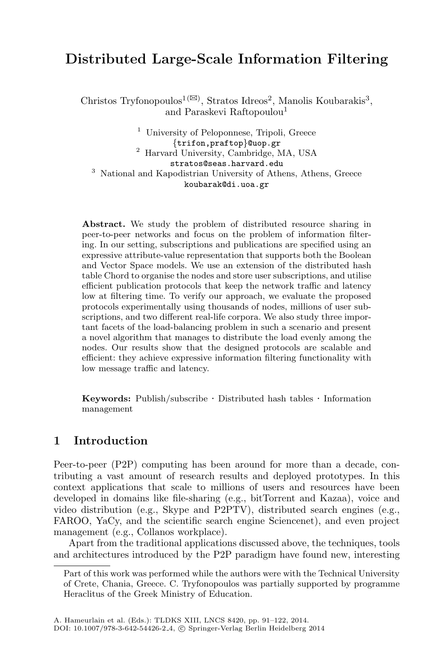# **Distributed Large-Scale Information Filtering**

Christos Tryfonopoulos<sup>1( $\boxtimes$ )</sup>, Stratos Idreos<sup>2</sup>, Manolis Koubarakis<sup>3</sup>, and Paraskevi Raftopoulou<sup>1</sup>

<sup>1</sup> University of Peloponnese, Tripoli, Greece<br>
{trifon, praftop}@uop.gr <sup>2</sup> Harvard University, Cambridge, MA, USA stratos@useas.harvard.edu  $^3$  National and Kapodistrian University of Athens, Athens, Greece koubarak@di.uoa.gr

Abstract. We study the problem of distributed resource sharing in peer-to-peer networks and focus on the problem of information filtering. In our setting, subscriptions and publications are specified using an expressive attribute-value representation that supports both the Boolean and Vector Space models. We use an extension of the distributed hash table Chord to organise the nodes and store user subscriptions, and utilise efficient publication protocols that keep the network traffic and latency low at filtering time. To verify our approach, we evaluate the proposed protocols experimentally using thousands of nodes, millions of user subscriptions, and two different real-life corpora. We also study three important facets of the load-balancing problem in such a scenario and present a novel algorithm that manages to distribute the load evenly among the nodes. Our results show that the designed protocols are scalable and efficient: they achieve expressive information filtering functionality with low message traffic and latency.

**Keywords:** Publish/subscribe · Distributed hash tables · Information management

# **1 Introduction**

Peer-to-peer (P2P) computing has been around for more than a decade, contributing a vast amount of research results and deployed prototypes. In this context applications that scale to millions of users and resources have been developed in domains like file-sharing (e.g., bitTorrent and Kazaa), voice and video distribution (e.g., Skype and P2PTV), distributed search engines (e.g., FAROO, YaCy, and the scientific search engine Sciencenet), and even project management (e.g., Collanos workplace).

Apart from the traditional applications discussed above, the techniques, tools and architectures introduced by the P2P paradigm have found new, interesting

Part of this work was performed while the authors were with the Technical University of Crete, Chania, Greece. C. Tryfonopoulos was partially supported by programme Heraclitus of the Greek Ministry of Education.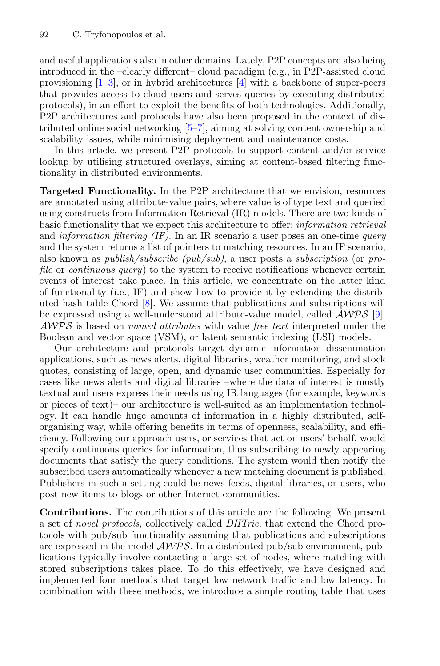and useful applications also in other domains. Lately, P2P concepts are also being introduced in the –clearly different– cloud paradigm (e.g., in P2P-assisted cloud provisioning [\[1](#page-28-0)[–3](#page-28-1)], or in hybrid architectures [\[4\]](#page-28-2) with a backbone of super-peers that provides access to cloud users and serves queries by executing distributed protocols), in an effort to exploit the benefits of both technologies. Additionally, P2P architectures and protocols have also been proposed in the context of distributed online social networking [\[5](#page-28-3)[–7](#page-28-4)], aiming at solving content ownership and scalability issues, while minimising deployment and maintenance costs.

In this article, we present P2P protocols to support content and/or service lookup by utilising structured overlays, aiming at content-based filtering functionality in distributed environments.

**Targeted Functionality.** In the P2P architecture that we envision, resources are annotated using attribute-value pairs, where value is of type text and queried using constructs from Information Retrieval (IR) models. There are two kinds of basic functionality that we expect this architecture to offer: *information retrieval* and *information filtering (IF)*. In an IR scenario a user poses an one-time *query* and the system returns a list of pointers to matching resources. In an IF scenario, also known as *publish/subscribe (pub/sub)*, a user posts a *subscription* (or *profile* or *continuous query*) to the system to receive notifications whenever certain events of interest take place. In this article, we concentrate on the latter kind of functionality (i.e., IF) and show how to provide it by extending the distributed hash table Chord [\[8\]](#page-28-5). We assume that publications and subscriptions will be expressed using a well-understood attribute-value model, called  $\mathcal{A}WPS$  [\[9\]](#page-28-6). AWPS is based on *named attributes* with value *free text* interpreted under the Boolean and vector space (VSM), or latent semantic indexing (LSI) models.

Our architecture and protocols target dynamic information dissemination applications, such as news alerts, digital libraries, weather monitoring, and stock quotes, consisting of large, open, and dynamic user communities. Especially for cases like news alerts and digital libraries –where the data of interest is mostly textual and users express their needs using IR languages (for example, keywords or pieces of text)– our architecture is well-suited as an implementation technology. It can handle huge amounts of information in a highly distributed, selforganising way, while offering benefits in terms of openness, scalability, and efficiency. Following our approach users, or services that act on users' behalf, would specify continuous queries for information, thus subscribing to newly appearing documents that satisfy the query conditions. The system would then notify the subscribed users automatically whenever a new matching document is published. Publishers in such a setting could be news feeds, digital libraries, or users, who post new items to blogs or other Internet communities.

**Contributions.** The contributions of this article are the following. We present a set of *novel protocols*, collectively called *DHTrie*, that extend the Chord protocols with pub/sub functionality assuming that publications and subscriptions are expressed in the model  $AVPS$ . In a distributed pub/sub environment, publications typically involve contacting a large set of nodes, where matching with stored subscriptions takes place. To do this effectively, we have designed and implemented four methods that target low network traffic and low latency. In combination with these methods, we introduce a simple routing table that uses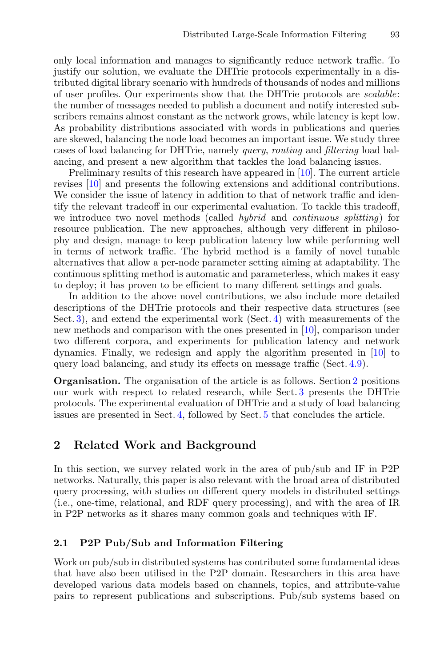only local information and manages to significantly reduce network traffic. To justify our solution, we evaluate the DHTrie protocols experimentally in a distributed digital library scenario with hundreds of thousands of nodes and millions of user profiles. Our experiments show that the DHTrie protocols are *scalable*: the number of messages needed to publish a document and notify interested subscribers remains almost constant as the network grows, while latency is kept low. As probability distributions associated with words in publications and queries are skewed, balancing the node load becomes an important issue. We study three cases of load balancing for DHTrie, namely *query*, *routing* and *filtering* load balancing, and present a new algorithm that tackles the load balancing issues.

Preliminary results of this research have appeared in [\[10\]](#page-28-7). The current article revises [\[10\]](#page-28-7) and presents the following extensions and additional contributions. We consider the issue of latency in addition to that of network traffic and identify the relevant tradeoff in our experimental evaluation. To tackle this tradeoff, we introduce two novel methods (called *hybrid* and *continuous splitting*) for resource publication. The new approaches, although very different in philosophy and design, manage to keep publication latency low while performing well in terms of network traffic. The hybrid method is a family of novel tunable alternatives that allow a per-node parameter setting aiming at adaptability. The continuous splitting method is automatic and parameterless, which makes it easy to deploy; it has proven to be efficient to many different settings and goals.

In addition to the above novel contributions, we also include more detailed descriptions of the DHTrie protocols and their respective data structures (see Sect. [3\)](#page-5-0), and extend the experimental work (Sect. [4\)](#page-14-0) with measurements of the new methods and comparison with the ones presented in [\[10\]](#page-28-7), comparison under two different corpora, and experiments for publication latency and network dynamics. Finally, we redesign and apply the algorithm presented in [\[10\]](#page-28-7) to query load balancing, and study its effects on message traffic (Sect. [4.9\)](#page-25-0).

**Organisation.** The organisation of the article is as follows. Section [2](#page-2-0) positions our work with respect to related research, while Sect. [3](#page-5-0) presents the DHTrie protocols. The experimental evaluation of DHTrie and a study of load balancing issues are presented in Sect. [4,](#page-14-0) followed by Sect. [5](#page-27-0) that concludes the article.

### <span id="page-2-0"></span>**2 Related Work and Background**

In this section, we survey related work in the area of pub/sub and IF in P2P networks. Naturally, this paper is also relevant with the broad area of distributed query processing, with studies on different query models in distributed settings (i.e., one-time, relational, and RDF query processing), and with the area of IR in P2P networks as it shares many common goals and techniques with IF.

### **2.1 P2P Pub/Sub and Information Filtering**

Work on pub/sub in distributed systems has contributed some fundamental ideas that have also been utilised in the P2P domain. Researchers in this area have developed various data models based on channels, topics, and attribute-value pairs to represent publications and subscriptions. Pub/sub systems based on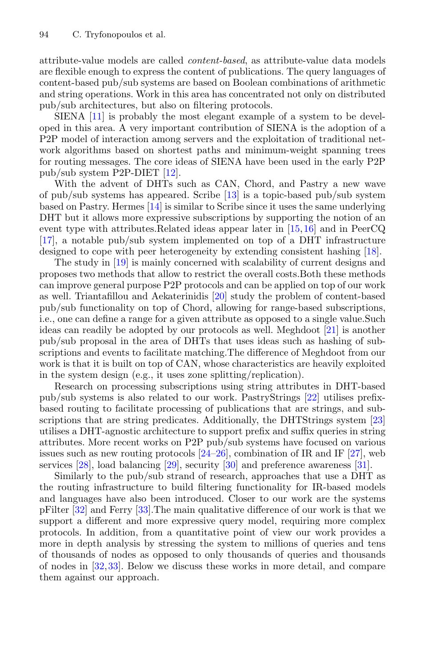attribute-value models are called *content-based*, as attribute-value data models are flexible enough to express the content of publications. The query languages of content-based pub/sub systems are based on Boolean combinations of arithmetic and string operations. Work in this area has concentrated not only on distributed pub/sub architectures, but also on filtering protocols.

SIENA [\[11\]](#page-28-8) is probably the most elegant example of a system to be developed in this area. A very important contribution of SIENA is the adoption of a P2P model of interaction among servers and the exploitation of traditional network algorithms based on shortest paths and minimum-weight spanning trees for routing messages. The core ideas of SIENA have been used in the early P2P pub/sub system P2P-DIET [\[12](#page-28-9)].

With the advent of DHTs such as CAN, Chord, and Pastry a new wave of pub/sub systems has appeared. Scribe [\[13](#page-28-10)] is a topic-based pub/sub system based on Pastry. Hermes [\[14](#page-28-11)] is similar to Scribe since it uses the same underlying DHT but it allows more expressive subscriptions by supporting the notion of an event type with attributes.Related ideas appear later in [\[15,](#page-29-0)[16](#page-29-1)] and in PeerCQ [\[17](#page-29-2)], a notable pub/sub system implemented on top of a DHT infrastructure designed to cope with peer heterogeneity by extending consistent hashing [\[18](#page-29-3)].

The study in [\[19\]](#page-29-4) is mainly concerned with scalability of current designs and proposes two methods that allow to restrict the overall costs.Both these methods can improve general purpose P2P protocols and can be applied on top of our work as well. Triantafillou and Aekaterinidis [\[20](#page-29-5)] study the problem of content-based pub/sub functionality on top of Chord, allowing for range-based subscriptions, i.e., one can define a range for a given attribute as opposed to a single value.Such ideas can readily be adopted by our protocols as well. Meghdoot [\[21](#page-29-6)] is another pub/sub proposal in the area of DHTs that uses ideas such as hashing of subscriptions and events to facilitate matching.The difference of Meghdoot from our work is that it is built on top of CAN, whose characteristics are heavily exploited in the system design (e.g., it uses zone splitting/replication).

Research on processing subscriptions using string attributes in DHT-based pub/sub systems is also related to our work. PastryStrings [\[22\]](#page-29-7) utilises prefixbased routing to facilitate processing of publications that are strings, and subscriptions that are string predicates. Additionally, the DHTStrings system [\[23](#page-29-8)] utilises a DHT-agnostic architecture to support prefix and suffix queries in string attributes. More recent works on P2P pub/sub systems have focused on various issues such as new routing protocols  $[24-26]$  $[24-26]$ , combination of IR and IF  $[27]$ , web services [\[28\]](#page-29-12), load balancing [\[29\]](#page-29-13), security [\[30](#page-29-14)] and preference awareness [\[31\]](#page-29-15).

Similarly to the pub/sub strand of research, approaches that use a DHT as the routing infrastructure to build filtering functionality for IR-based models and languages have also been introduced. Closer to our work are the systems pFilter [\[32\]](#page-29-16) and Ferry [\[33](#page-29-17)].The main qualitative difference of our work is that we support a different and more expressive query model, requiring more complex protocols. In addition, from a quantitative point of view our work provides a more in depth analysis by stressing the system to millions of queries and tens of thousands of nodes as opposed to only thousands of queries and thousands of nodes in [\[32](#page-29-16)[,33](#page-29-17)]. Below we discuss these works in more detail, and compare them against our approach.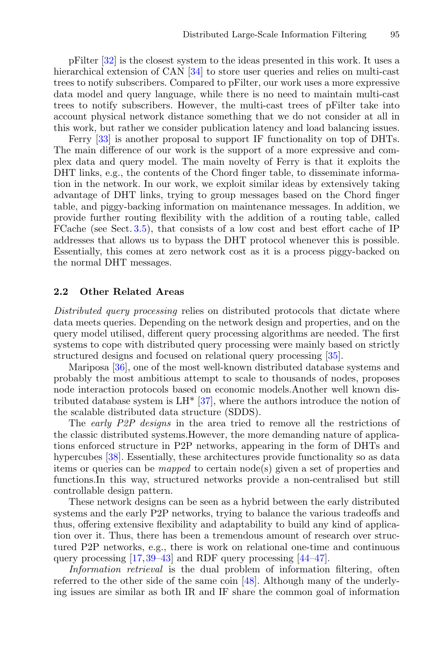pFilter [\[32\]](#page-29-16) is the closest system to the ideas presented in this work. It uses a hierarchical extension of CAN [\[34](#page-29-18)] to store user queries and relies on multi-cast trees to notify subscribers. Compared to pFilter, our work uses a more expressive data model and query language, while there is no need to maintain multi-cast trees to notify subscribers. However, the multi-cast trees of pFilter take into account physical network distance something that we do not consider at all in this work, but rather we consider publication latency and load balancing issues.

Ferry [\[33](#page-29-17)] is another proposal to support IF functionality on top of DHTs. The main difference of our work is the support of a more expressive and complex data and query model. The main novelty of Ferry is that it exploits the DHT links, e.g., the contents of the Chord finger table, to disseminate information in the network. In our work, we exploit similar ideas by extensively taking advantage of DHT links, trying to group messages based on the Chord finger table, and piggy-backing information on maintenance messages. In addition, we provide further routing flexibility with the addition of a routing table, called FCache (see Sect. [3.5\)](#page-12-0), that consists of a low cost and best effort cache of IP addresses that allows us to bypass the DHT protocol whenever this is possible. Essentially, this comes at zero network cost as it is a process piggy-backed on the normal DHT messages.

### **2.2 Other Related Areas**

*Distributed query processing* relies on distributed protocols that dictate where data meets queries. Depending on the network design and properties, and on the query model utilised, different query processing algorithms are needed. The first systems to cope with distributed query processing were mainly based on strictly structured designs and focused on relational query processing [\[35\]](#page-29-19).

Mariposa [\[36\]](#page-30-0), one of the most well-known distributed database systems and probably the most ambitious attempt to scale to thousands of nodes, proposes node interaction protocols based on economic models.Another well known distributed database system is LH\* [\[37](#page-30-1)], where the authors introduce the notion of the scalable distributed data structure (SDDS).

The *early P2P designs* in the area tried to remove all the restrictions of the classic distributed systems.However, the more demanding nature of applications enforced structure in P2P networks, appearing in the form of DHTs and hypercubes [\[38](#page-30-2)]. Essentially, these architectures provide functionality so as data items or queries can be *mapped* to certain node(s) given a set of properties and functions.In this way, structured networks provide a non-centralised but still controllable design pattern.

These network designs can be seen as a hybrid between the early distributed systems and the early P2P networks, trying to balance the various tradeoffs and thus, offering extensive flexibility and adaptability to build any kind of application over it. Thus, there has been a tremendous amount of research over structured P2P networks, e.g., there is work on relational one-time and continuous query processing [\[17](#page-29-2),[39](#page-30-3)[–43\]](#page-30-4) and RDF query processing [\[44](#page-30-5)[–47](#page-30-6)].

*Information retrieval* is the dual problem of information filtering, often referred to the other side of the same coin [\[48](#page-30-7)]. Although many of the underlying issues are similar as both IR and IF share the common goal of information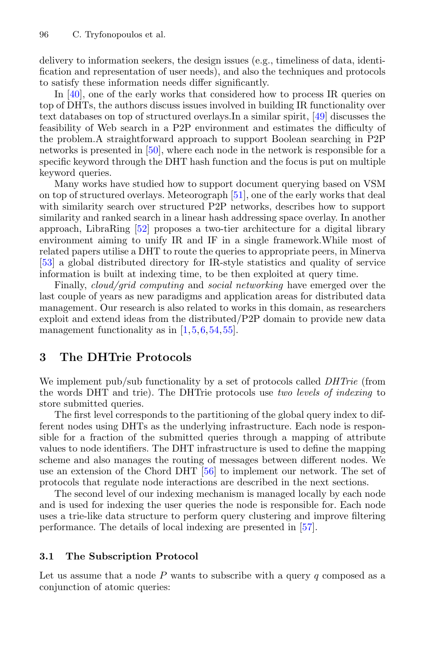delivery to information seekers, the design issues (e.g., timeliness of data, identification and representation of user needs), and also the techniques and protocols to satisfy these information needs differ significantly.

In [\[40\]](#page-30-8), one of the early works that considered how to process IR queries on top of DHTs, the authors discuss issues involved in building IR functionality over text databases on top of structured overlays.In a similar spirit, [\[49\]](#page-30-9) discusses the feasibility of Web search in a P2P environment and estimates the difficulty of the problem.A straightforward approach to support Boolean searching in P2P networks is presented in [\[50](#page-30-10)], where each node in the network is responsible for a specific keyword through the DHT hash function and the focus is put on multiple keyword queries.

Many works have studied how to support document querying based on VSM on top of structured overlays. Meteorograph [\[51](#page-30-11)], one of the early works that deal with similarity search over structured P2P networks, describes how to support similarity and ranked search in a linear hash addressing space overlay. In another approach, LibraRing [\[52\]](#page-30-12) proposes a two-tier architecture for a digital library environment aiming to unify IR and IF in a single framework.While most of related papers utilise a DHT to route the queries to appropriate peers, in Minerva [\[53](#page-30-13)] a global distributed directory for IR-style statistics and quality of service information is built at indexing time, to be then exploited at query time.

Finally, *cloud/grid computing* and *social networking* have emerged over the last couple of years as new paradigms and application areas for distributed data management. Our research is also related to works in this domain, as researchers exploit and extend ideas from the distributed/P2P domain to provide new data management functionality as in [\[1,](#page-28-0)[5,](#page-28-3)[6](#page-28-12)[,54](#page-30-14),[55\]](#page-30-15).

# <span id="page-5-0"></span>**3 The DHTrie Protocols**

We implement pub/sub functionality by a set of protocols called *DHTrie* (from the words DHT and trie). The DHTrie protocols use *two levels of indexing* to store submitted queries.

The first level corresponds to the partitioning of the global query index to different nodes using DHTs as the underlying infrastructure. Each node is responsible for a fraction of the submitted queries through a mapping of attribute values to node identifiers. The DHT infrastructure is used to define the mapping scheme and also manages the routing of messages between different nodes. We use an extension of the Chord DHT [\[56\]](#page-30-16) to implement our network. The set of protocols that regulate node interactions are described in the next sections.

The second level of our indexing mechanism is managed locally by each node and is used for indexing the user queries the node is responsible for. Each node uses a trie-like data structure to perform query clustering and improve filtering performance. The details of local indexing are presented in [\[57\]](#page-31-0).

### <span id="page-5-1"></span>**3.1 The Subscription Protocol**

Let us assume that a node  $P$  wants to subscribe with a query  $q$  composed as a conjunction of atomic queries: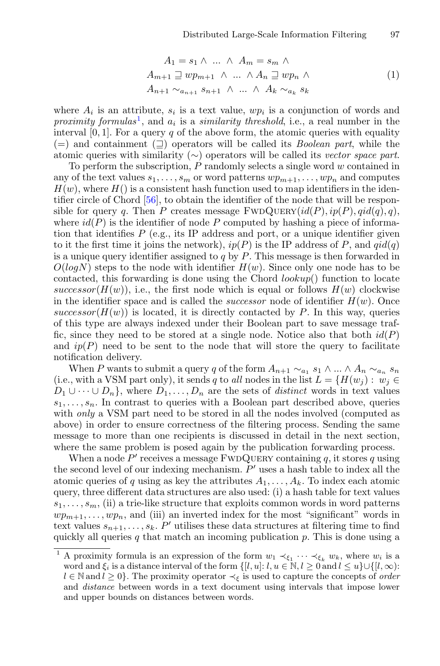$$
A_1 = s_1 \wedge \dots \wedge A_m = s_m \wedge
$$
  
\n
$$
A_{m+1} \supseteq w p_{m+1} \wedge \dots \wedge A_n \supseteq w p_n \wedge
$$
  
\n
$$
A_{n+1} \sim_{a_{n+1}} s_{n+1} \wedge \dots \wedge A_k \sim_{a_k} s_k
$$
\n(1)

where  $A_i$  is an attribute,  $s_i$  is a text value,  $wp_i$  is a conjunction of words and *proximity formulas*<sup>[1](#page-6-0)</sup>, and  $a_i$  is a *similarity threshold*, i.e., a real number in the interval  $[0, 1]$ . For a query q of the above form, the atomic queries with equality  $(=)$  and containment  $( \Box )$  operators will be called its *Boolean part*, while the atomic queries with similarity (∼) operators will be called its *vector space part*.

To perform the subscription,  $P$  randomly selects a single word  $w$  contained in any of the text values  $s_1, \ldots, s_m$  or word patterns  $wp_{m+1}, \ldots, wp_n$  and computes  $H(w)$ , where  $H()$  is a consistent hash function used to map identifiers in the identifier circle of Chord [\[56\]](#page-30-16), to obtain the identifier of the node that will be responsible for query q. Then P creates message  $FWDQUERY(id(P),ip(P),qid(q),q),$ where  $id(P)$  is the identifier of node P computed by hashing a piece of information that identifies  $P$  (e.g., its IP address and port, or a unique identifier given to it the first time it joins the network),  $ip(P)$  is the IP address of P, and  $qid(q)$ is a unique query identifier assigned to  $q$  by  $P$ . This message is then forwarded in  $O(logN)$  steps to the node with identifier  $H(w)$ . Since only one node has to be contacted, this forwarding is done using the Chord  $lookup()$  function to locate successor( $H(w)$ ), i.e., the first node which is equal or follows  $H(w)$  clockwise in the identifier space and is called the *successor* node of identifier  $H(w)$ . Once  $successor(H(w))$  is located, it is directly contacted by P. In this way, queries of this type are always indexed under their Boolean part to save message traffic, since they need to be stored at a single node. Notice also that both  $id(P)$ and  $ip(P)$  need to be sent to the node that will store the query to facilitate notification delivery.

When P wants to submit a query q of the form  $A_{n+1} \sim_{a_1} s_1 \wedge ... \wedge A_n \sim_{a_n} s_n$ (i.e., with a VSM part only), it sends q to all nodes in the list  $L = \{H(w_i) : w_j \in$  $D_1 \cup \cdots \cup D_n$ , where  $D_1, \ldots, D_n$  are the sets of *distinct* words in text values  $s_1, \ldots, s_n$ . In contrast to queries with a Boolean part described above, queries with *only* a VSM part need to be stored in all the nodes involved (computed as above) in order to ensure correctness of the filtering process. Sending the same message to more than one recipients is discussed in detail in the next section, where the same problem is posed again by the publication forwarding process.

When a node P' receives a message FWDQUERY containing q, it stores q using the second level of our indexing mechanism.  $P'$  uses a hash table to index all the atomic queries of q using as key the attributes  $A_1, \ldots, A_k$ . To index each atomic query, three different data structures are also used: (i) a hash table for text values  $s_1, \ldots, s_m$ , (ii) a trie-like structure that exploits common words in word patterns  $wp_{m+1},\ldots,wp_n$ , and (iii) an inverted index for the most "significant" words in text values  $s_{n+1},\ldots,s_k$ . P' utilises these data structures at filtering time to find quickly all queries q that match an incoming publication  $p$ . This is done using a

<span id="page-6-0"></span><sup>&</sup>lt;sup>1</sup> A proximity formula is an expression of the form  $w_1 \prec_{\xi_1} \cdots \prec_{\xi_k} w_k$ , where  $w_i$  is a word and  $\xi_i$  is a distance interval of the form  $\{[l, u]: l, u \in \mathbb{N}, l \geq 0 \text{ and } l \leq u\} \cup \{[l, \infty):$  $l \in \mathbb{N}$  and  $l \geq 0$ . The proximity operator  $\prec_{\xi}$  is used to capture the concepts of *order* and *distance* between words in a text document using intervals that impose lower and upper bounds on distances between words.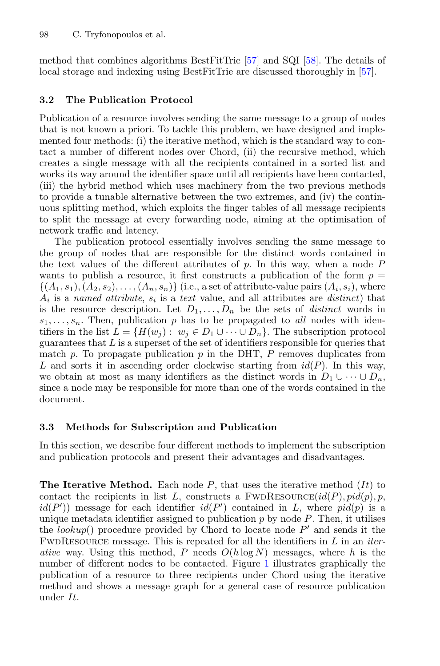method that combines algorithms BestFitTrie [\[57\]](#page-31-0) and SQI [\[58\]](#page-31-1). The details of local storage and indexing using BestFitTrie are discussed thoroughly in [\[57](#page-31-0)].

### **3.2 The Publication Protocol**

Publication of a resource involves sending the same message to a group of nodes that is not known a priori. To tackle this problem, we have designed and implemented four methods: (i) the iterative method, which is the standard way to contact a number of different nodes over Chord, (ii) the recursive method, which creates a single message with all the recipients contained in a sorted list and works its way around the identifier space until all recipients have been contacted, (iii) the hybrid method which uses machinery from the two previous methods to provide a tunable alternative between the two extremes, and (iv) the continuous splitting method, which exploits the finger tables of all message recipients to split the message at every forwarding node, aiming at the optimisation of network traffic and latency.

The publication protocol essentially involves sending the same message to the group of nodes that are responsible for the distinct words contained in the text values of the different attributes of  $p$ . In this way, when a node  $P$ wants to publish a resource, it first constructs a publication of the form  $p =$  $\{(A_1,s_1), (A_2,s_2), \ldots, (A_n,s_n)\}\$  (i.e., a set of attribute-value pairs  $(A_i,s_i)$ , where A*<sup>i</sup>* is a *named attribute*, s*<sup>i</sup>* is a *text* value, and all attributes are *distinct*) that is the resource description. Let  $D_1, \ldots, D_n$  be the sets of *distinct* words in  $s_1, \ldots, s_n$ . Then, publication p has to be propagated to *all* nodes with identifiers in the list  $L = {H(w_i): w_i \in D_1 \cup \cdots \cup D_n}$ . The subscription protocol guarantees that  $L$  is a superset of the set of identifiers responsible for queries that match  $p$ . To propagate publication  $p$  in the DHT,  $P$  removes duplicates from L and sorts it in ascending order clockwise starting from  $id(P)$ . In this way, we obtain at most as many identifiers as the distinct words in  $D_1 \cup \cdots \cup D_n$ , since a node may be responsible for more than one of the words contained in the document.

### **3.3 Methods for Subscription and Publication**

In this section, we describe four different methods to implement the subscription and publication protocols and present their advantages and disadvantages.

**The Iterative Method.** Each node  $P$ , that uses the iterative method  $(It)$  to contact the recipients in list L, constructs a FWDRESOURCE $(id(P), pid(p),p,$  $id(P')$  message for each identifier  $id(P')$  contained in L, where  $pid(p)$  is a unique metadata identifier assigned to publication  $p$  by node  $P$ . Then, it utilises the lookup() procedure provided by Chord to locate node  $P'$  and sends it the FwdResource message. This is repeated for all the identifiers in L in an *iterative* way. Using this method, P needs  $O(h \log N)$  messages, where h is the number of different nodes to be contacted. Figure [1](#page-8-0) illustrates graphically the publication of a resource to three recipients under Chord using the iterative method and shows a message graph for a general case of resource publication under It.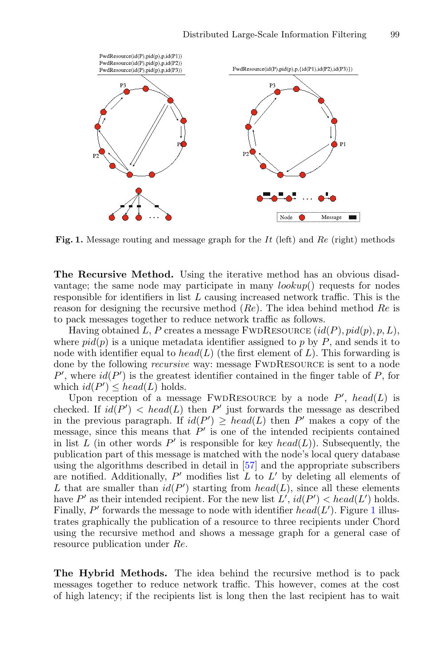

<span id="page-8-0"></span>**Fig. 1.** Message routing and message graph for the It (left) and Re (right) methods

**The Recursive Method.** Using the iterative method has an obvious disadvantage; the same node may participate in many  $\{lookup() \}$  requests for nodes responsible for identifiers in list  $L$  causing increased network traffic. This is the reason for designing the recursive method  $(Re)$ . The idea behind method Re is to pack messages together to reduce network traffic as follows.

Having obtained L, P creates a message FWDRESOURCE  $(id(P), pid(p),p,L)$ , where  $pid(p)$  is a unique metadata identifier assigned to p by P, and sends it to node with identifier equal to  $head(L)$  (the first element of L). This forwarding is done by the following *recursive* way: message FWDRESOURCE is sent to a node  $P'$ , where  $id(P')$  is the greatest identifier contained in the finger table of P, for which  $id(P') \leq head(L)$  holds.

Upon reception of a message FWDRESOURCE by a node  $P'$ , head(L) is checked. If  $id(P') < head(L)$  then P' just forwards the message as described in the previous paragraph. If  $id(P') \geq head(L)$  then P' makes a copy of the message, since this means that  $P'$  is one of the intended recipients contained in list L (in other words  $P'$  is responsible for key head(L)). Subsequently, the publication part of this message is matched with the node's local query database using the algorithms described in detail in [\[57\]](#page-31-0) and the appropriate subscribers are notified. Additionally,  $P'$  modifies list  $L$  to  $L'$  by deleting all elements of L that are smaller than  $id(P')$  starting from  $head(L)$ , since all these elements have P' as their intended recipient. For the new list  $L', id(P') < head(L')$  holds. Finally,  $P'$  forwards the message to node with identifier  $head(L')$ . Figure [1](#page-8-0) illustrates graphically the publication of a resource to three recipients under Chord using the recursive method and shows a message graph for a general case of resource publication under Re.

**The Hybrid Methods.** The idea behind the recursive method is to pack messages together to reduce network traffic. This however, comes at the cost of high latency; if the recipients list is long then the last recipient has to wait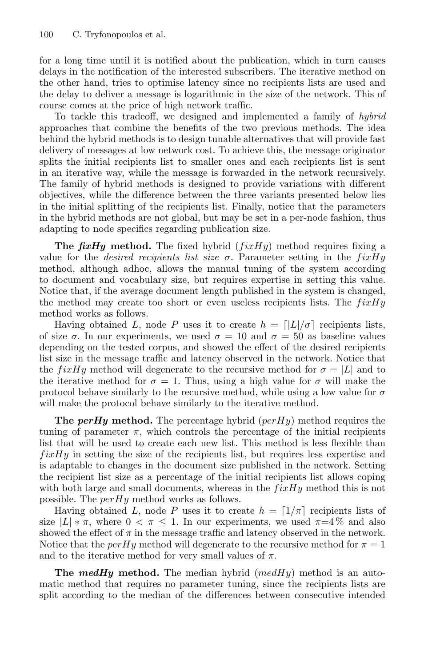for a long time until it is notified about the publication, which in turn causes delays in the notification of the interested subscribers. The iterative method on the other hand, tries to optimise latency since no recipients lists are used and the delay to deliver a message is logarithmic in the size of the network. This of course comes at the price of high network traffic.

To tackle this tradeoff, we designed and implemented a family of *hybrid* approaches that combine the benefits of the two previous methods. The idea behind the hybrid methods is to design tunable alternatives that will provide fast delivery of messages at low network cost. To achieve this, the message originator splits the initial recipients list to smaller ones and each recipients list is sent in an iterative way, while the message is forwarded in the network recursively. The family of hybrid methods is designed to provide variations with different objectives, while the difference between the three variants presented below lies in the initial splitting of the recipients list. Finally, notice that the parameters in the hybrid methods are not global, but may be set in a per-node fashion, thus adapting to node specifics regarding publication size.

**The**  $fixHy$  **method.** The fixed hybrid  $(fixHy)$  method requires fixing a value for the *desired recipients list size*  $\sigma$ . Parameter setting in the *fixHy* method, although adhoc, allows the manual tuning of the system according to document and vocabulary size, but requires expertise in setting this value. Notice that, if the average document length published in the system is changed, the method may create too short or even useless recipients lists. The  $fixHy$ method works as follows.

Having obtained L, node P uses it to create  $h = \lfloor |L|/\sigma \rfloor$  recipients lists, of size  $\sigma$ . In our experiments, we used  $\sigma = 10$  and  $\sigma = 50$  as baseline values depending on the tested corpus, and showed the effect of the desired recipients list size in the message traffic and latency observed in the network. Notice that the fixHy method will degenerate to the recursive method for  $\sigma = |L|$  and to the iterative method for  $\sigma = 1$ . Thus, using a high value for  $\sigma$  will make the protocol behave similarly to the recursive method, while using a low value for  $\sigma$ will make the protocol behave similarly to the iterative method.

**The** *perHy* **method.** The percentage hybrid (perHy) method requires the tuning of parameter  $\pi$ , which controls the percentage of the initial recipients list that will be used to create each new list. This method is less flexible than fixHy in setting the size of the recipients list, but requires less expertise and is adaptable to changes in the document size published in the network. Setting the recipient list size as a percentage of the initial recipients list allows coping with both large and small documents, whereas in the  $fixHy$  method this is not possible. The  $perHy$  method works as follows.

Having obtained L, node P uses it to create  $h = \lceil 1/\pi \rceil$  recipients lists of size  $|L| * \pi$ , where  $0 < \pi \leq 1$ . In our experiments, we used  $\pi=4\%$  and also showed the effect of  $\pi$  in the message traffic and latency observed in the network. Notice that the *perHy* method will degenerate to the recursive method for  $\pi = 1$ and to the iterative method for very small values of  $\pi$ .

**The** *medHy* **method.** The median hybrid (medHy) method is an automatic method that requires no parameter tuning, since the recipients lists are split according to the median of the differences between consecutive intended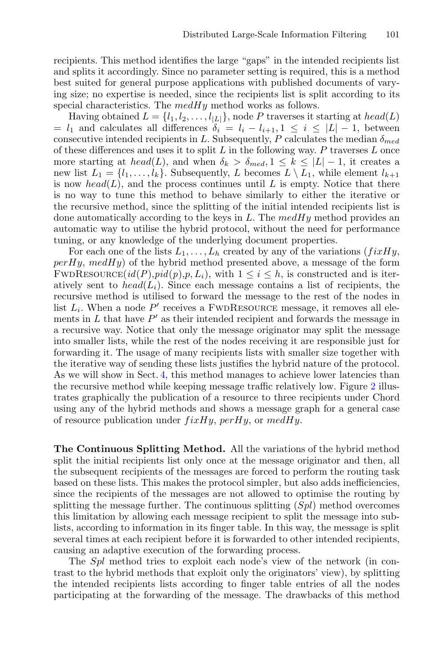recipients. This method identifies the large "gaps" in the intended recipients list and splits it accordingly. Since no parameter setting is required, this is a method best suited for general purpose applications with published documents of varying size; no expertise is needed, since the recipients list is split according to its special characteristics. The  $medHy$  method works as follows.

Having obtained  $L = \{l_1, l_2, \ldots, l_{|L|}\}\)$ , node P traverses it starting at  $head(L)$  $= l_1$  and calculates all differences  $\delta_i = l_i - l_{i+1}, 1 \leq i \leq |L| - 1$ , between consecutive intended recipients in L. Subsequently, P calculates the median  $\delta_{med}$ of these differences and uses it to split  $L$  in the following way.  $P$  traverses  $L$  once more starting at  $head(L)$ , and when  $\delta_k > \delta_{med}$ ,  $1 \leq k \leq |L|-1$ , it creates a new list  $L_1 = \{l_1, \ldots, l_k\}$ . Subsequently, L becomes  $L \setminus L_1$ , while element  $l_{k+1}$ is now head( $L$ ), and the process continues until L is empty. Notice that there is no way to tune this method to behave similarly to either the iterative or the recursive method, since the splitting of the initial intended recipients list is done automatically according to the keys in  $L$ . The medHy method provides an automatic way to utilise the hybrid protocol, without the need for performance tuning, or any knowledge of the underlying document properties.

For each one of the lists  $L_1, \ldots, L_h$  created by any of the variations (fixHy,  $perHy, medHy)$  of the hybrid method presented above, a message of the form FWDRESOURCE $(id(P), pid(p),p,L_i)$ , with  $1 \leq i \leq h$ , is constructed and is iteratively sent to  $head(L_i)$ . Since each message contains a list of recipients, the recursive method is utilised to forward the message to the rest of the nodes in list  $L_i$ . When a node  $P'$  receives a FWDRESOURCE message, it removes all elements in  $L$  that have  $P'$  as their intended recipient and forwards the message in a recursive way. Notice that only the message originator may split the message into smaller lists, while the rest of the nodes receiving it are responsible just for forwarding it. The usage of many recipients lists with smaller size together with the iterative way of sending these lists justifies the hybrid nature of the protocol. As we will show in Sect. [4,](#page-14-0) this method manages to achieve lower latencies than the recursive method while keeping message traffic relatively low. Figure [2](#page-11-0) illustrates graphically the publication of a resource to three recipients under Chord using any of the hybrid methods and shows a message graph for a general case of resource publication under  $fixHy$ , perHy, or medHy.

**The Continuous Splitting Method.** All the variations of the hybrid method split the initial recipients list only once at the message originator and then, all the subsequent recipients of the messages are forced to perform the routing task based on these lists. This makes the protocol simpler, but also adds inefficiencies, since the recipients of the messages are not allowed to optimise the routing by splitting the message further. The continuous splitting  $(Spl)$  method overcomes this limitation by allowing each message recipient to split the message into sublists, according to information in its finger table. In this way, the message is split several times at each recipient before it is forwarded to other intended recipients, causing an adaptive execution of the forwarding process.

The Spl method tries to exploit each node's view of the network (in contrast to the hybrid methods that exploit only the originators' view), by splitting the intended recipients lists according to finger table entries of all the nodes participating at the forwarding of the message. The drawbacks of this method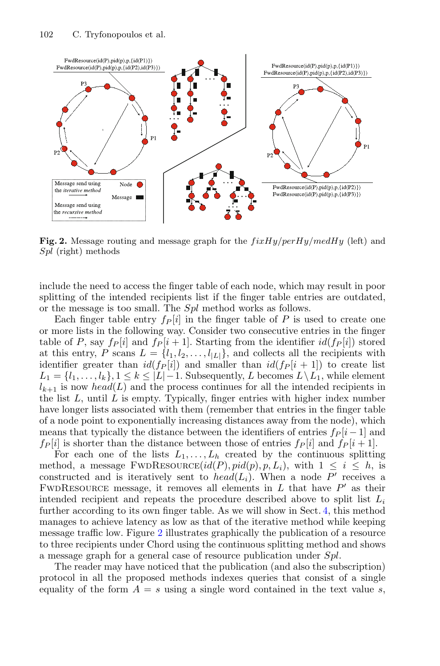

<span id="page-11-0"></span>**Fig. 2.** Message routing and message graph for the  $fixHy/perHy/medHy$  (left) and Spl (right) methods

include the need to access the finger table of each node, which may result in poor splitting of the intended recipients list if the finger table entries are outdated, or the message is too small. The Spl method works as follows.

Each finger table entry  $f_P[i]$  in the finger table of P is used to create one or more lists in the following way. Consider two consecutive entries in the finger table of P, say  $f_P[i]$  and  $f_P[i+1]$ . Starting from the identifier  $id(f_P[i])$  stored at this entry, P scans  $L = \{l_1, l_2, \ldots, l_{|L|}\}$ , and collects all the recipients with identifier greater than  $id(f_P[i])$  and smaller than  $id(f_P[i+1])$  to create list  $L_1 = \{l_1, \ldots, l_k\}, 1 \leq k \leq |L|-1$ . Subsequently, L becomes  $L \setminus L_1$ , while element  $l_{k+1}$  is now head(L) and the process continues for all the intended recipients in the list  $L$ , until  $L$  is empty. Typically, finger entries with higher index number have longer lists associated with them (remember that entries in the finger table of a node point to exponentially increasing distances away from the node), which means that typically the distance between the identifiers of entries  $f_P[i-1]$  and  $f_P[i]$  is shorter than the distance between those of entries  $f_P[i]$  and  $f_P[i+1]$ .

For each one of the lists  $L_1, \ldots, L_h$  created by the continuous splitting method, a message FWDRESOURCE $(id(P), pid(p),p,L_i)$ , with  $1 \leq i \leq h$ , is constructed and is iteratively sent to  $head(L_i)$ . When a node  $P'$  receives a FWDRESOURCE message, it removes all elements in  $L$  that have  $P'$  as their intended recipient and repeats the procedure described above to split list L*<sup>i</sup>* further according to its own finger table. As we will show in Sect. [4,](#page-14-0) this method manages to achieve latency as low as that of the iterative method while keeping message traffic low. Figure [2](#page-11-0) illustrates graphically the publication of a resource to three recipients under Chord using the continuous splitting method and shows a message graph for a general case of resource publication under Spl.

The reader may have noticed that the publication (and also the subscription) protocol in all the proposed methods indexes queries that consist of a single equality of the form  $A = s$  using a single word contained in the text value s,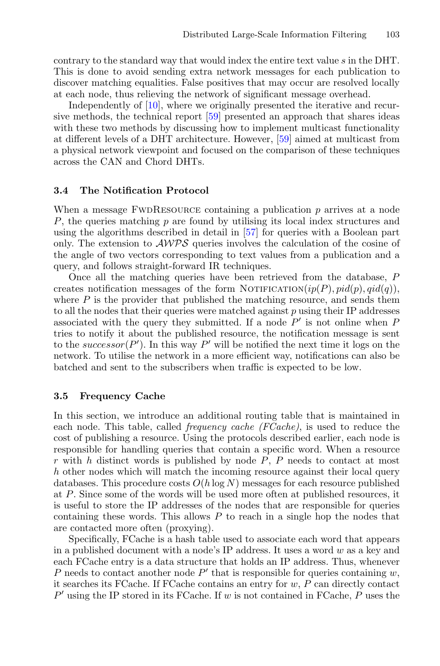contrary to the standard way that would index the entire text value s in the DHT. This is done to avoid sending extra network messages for each publication to discover matching equalities. False positives that may occur are resolved locally at each node, thus relieving the network of significant message overhead.

Independently of [\[10\]](#page-28-7), where we originally presented the iterative and recursive methods, the technical report [\[59](#page-31-2)] presented an approach that shares ideas with these two methods by discussing how to implement multicast functionality at different levels of a DHT architecture. However, [\[59\]](#page-31-2) aimed at multicast from a physical network viewpoint and focused on the comparison of these techniques across the CAN and Chord DHTs.

#### **3.4 The Notification Protocol**

When a message  $FWDRESOURCE$  containing a publication p arrives at a node P, the queries matching p are found by utilising its local index structures and using the algorithms described in detail in [\[57](#page-31-0)] for queries with a Boolean part only. The extension to  $\mathcal{A}WPS$  queries involves the calculation of the cosine of the angle of two vectors corresponding to text values from a publication and a query, and follows straight-forward IR techniques.

Once all the matching queries have been retrieved from the database, P creates notification messages of the form NOTIFICATION( $ip(P)$ ,  $pid(p)$ ,  $qid(q)$ ), where  $P$  is the provider that published the matching resource, and sends them to all the nodes that their queries were matched against  $p$  using their IP addresses associated with the query they submitted. If a node  $P'$  is not online when  $P$ tries to notify it about the published resource, the notification message is sent to the successor  $(P')$ . In this way P' will be notified the next time it logs on the network. To utilise the network in a more efficient way, notifications can also be batched and sent to the subscribers when traffic is expected to be low.

### <span id="page-12-0"></span>**3.5 Frequency Cache**

In this section, we introduce an additional routing table that is maintained in each node. This table, called *frequency cache (FCache)*, is used to reduce the cost of publishing a resource. Using the protocols described earlier, each node is responsible for handling queries that contain a specific word. When a resource r with h distinct words is published by node  $P$ ,  $P$  needs to contact at most h other nodes which will match the incoming resource against their local query databases. This procedure costs  $O(h \log N)$  messages for each resource published at P. Since some of the words will be used more often at published resources, it is useful to store the IP addresses of the nodes that are responsible for queries containing these words. This allows  $P$  to reach in a single hop the nodes that are contacted more often (proxying).

Specifically, FCache is a hash table used to associate each word that appears in a published document with a node's IP address. It uses a word  $w$  as a key and each FCache entry is a data structure that holds an IP address. Thus, whenever P needs to contact another node  $P'$  that is responsible for queries containing w, it searches its FCache. If FCache contains an entry for  $w$ ,  $P$  can directly contact  $P'$  using the IP stored in its FCache. If w is not contained in FCache, P uses the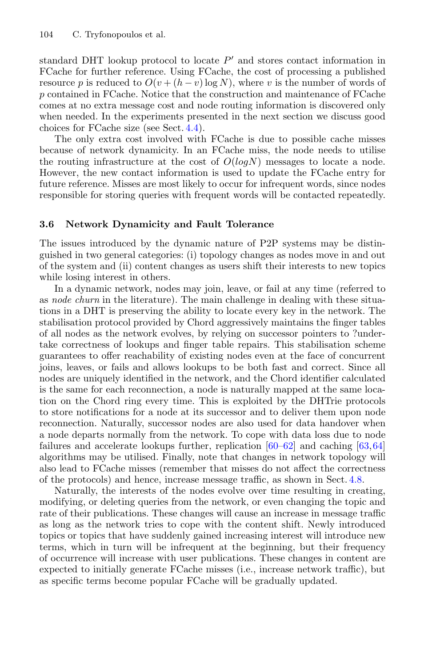standard DHT lookup protocol to locate  $P'$  and stores contact information in FCache for further reference. Using FCache, the cost of processing a published resource p is reduced to  $O(v + (h - v) \log N)$ , where v is the number of words of p contained in FCache. Notice that the construction and maintenance of FCache comes at no extra message cost and node routing information is discovered only when needed. In the experiments presented in the next section we discuss good choices for FCache size (see Sect. [4.4\)](#page-19-0).

The only extra cost involved with FCache is due to possible cache misses because of network dynamicity. In an FCache miss, the node needs to utilise the routing infrastructure at the cost of  $O(logN)$  messages to locate a node. However, the new contact information is used to update the FCache entry for future reference. Misses are most likely to occur for infrequent words, since nodes responsible for storing queries with frequent words will be contacted repeatedly.

### **3.6 Network Dynamicity and Fault Tolerance**

The issues introduced by the dynamic nature of P2P systems may be distinguished in two general categories: (i) topology changes as nodes move in and out of the system and (ii) content changes as users shift their interests to new topics while losing interest in others.

In a dynamic network, nodes may join, leave, or fail at any time (referred to as *node churn* in the literature). The main challenge in dealing with these situations in a DHT is preserving the ability to locate every key in the network. The stabilisation protocol provided by Chord aggressively maintains the finger tables of all nodes as the network evolves, by relying on successor pointers to ?undertake correctness of lookups and finger table repairs. This stabilisation scheme guarantees to offer reachability of existing nodes even at the face of concurrent joins, leaves, or fails and allows lookups to be both fast and correct. Since all nodes are uniquely identified in the network, and the Chord identifier calculated is the same for each reconnection, a node is naturally mapped at the same location on the Chord ring every time. This is exploited by the DHTrie protocols to store notifications for a node at its successor and to deliver them upon node reconnection. Naturally, successor nodes are also used for data handover when a node departs normally from the network. To cope with data loss due to node failures and accelerate lookups further, replication [\[60](#page-31-3)[–62\]](#page-31-4) and caching [\[63](#page-31-5)[,64](#page-31-6)] algorithms may be utilised. Finally, note that changes in network topology will also lead to FCache misses (remember that misses do not affect the correctness of the protocols) and hence, increase message traffic, as shown in Sect. [4.8.](#page-24-0)

Naturally, the interests of the nodes evolve over time resulting in creating, modifying, or deleting queries from the network, or even changing the topic and rate of their publications. These changes will cause an increase in message traffic as long as the network tries to cope with the content shift. Newly introduced topics or topics that have suddenly gained increasing interest will introduce new terms, which in turn will be infrequent at the beginning, but their frequency of occurrence will increase with user publications. These changes in content are expected to initially generate FCache misses (i.e., increase network traffic), but as specific terms become popular FCache will be gradually updated.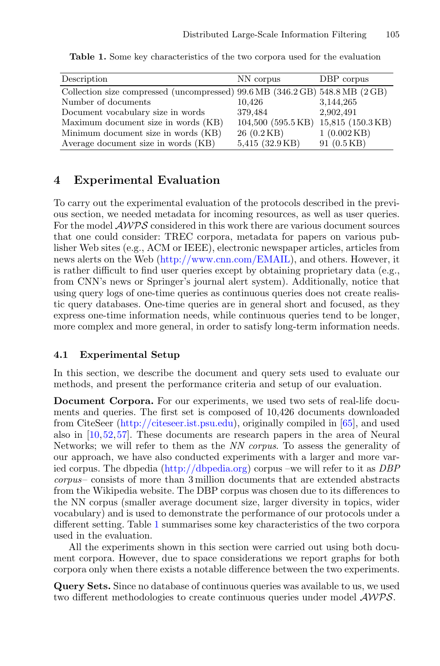<span id="page-14-1"></span>

| Description                                                                  | NN corpus          | DBP corpus            |
|------------------------------------------------------------------------------|--------------------|-----------------------|
| Collection size compressed (uncompressed) 99.6 MB (346.2 GB) 548.8 MB (2 GB) |                    |                       |
| Number of documents                                                          | 10,426             | 3,144,265             |
| Document vocabulary size in words                                            | 379,484            | 2,902,491             |
| Maximum document size in words (KB)                                          | 104,500 (595.5 KB) | 15,815 (150.3 KB)     |
| Minimum document size in words (KB)                                          | 26 (0.2 KB)        | $1(0.002 \text{ KB})$ |
| Average document size in words (KB)                                          | 5,415 (32.9 KB)    | 91(0.5KB)             |

**Table 1.** Some key characteristics of the two corpora used for the evaluation

# <span id="page-14-0"></span>**4 Experimental Evaluation**

To carry out the experimental evaluation of the protocols described in the previous section, we needed metadata for incoming resources, as well as user queries. For the model AWPS considered in this work there are various document sources that one could consider: TREC corpora, metadata for papers on various publisher Web sites (e.g., ACM or IEEE), electronic newspaper articles, articles from news alerts on the Web [\(http://www.cnn.com/EMAIL\)](http://www.cnn.com/EMAIL), and others. However, it is rather difficult to find user queries except by obtaining proprietary data (e.g., from CNN's news or Springer's journal alert system). Additionally, notice that using query logs of one-time queries as continuous queries does not create realistic query databases. One-time queries are in general short and focused, as they express one-time information needs, while continuous queries tend to be longer, more complex and more general, in order to satisfy long-term information needs.

### **4.1 Experimental Setup**

In this section, we describe the document and query sets used to evaluate our methods, and present the performance criteria and setup of our evaluation.

**Document Corpora.** For our experiments, we used two sets of real-life documents and queries. The first set is composed of 10,426 documents downloaded from CiteSeer [\(http://citeseer.ist.psu.edu\)](http://citeseer.ist.psu.edu), originally compiled in [\[65](#page-31-7)], and used also in [\[10](#page-28-7)[,52](#page-30-12),[57\]](#page-31-0). These documents are research papers in the area of Neural Networks; we will refer to them as the *NN corpus*. To assess the generality of our approach, we have also conducted experiments with a larger and more varied corpus. The dbpedia [\(http://dbpedia.org\)](http://dbpedia.org) corpus –we will refer to it as *DBP corpus*– consists of more than 3 million documents that are extended abstracts from the Wikipedia website. The DBP corpus was chosen due to its differences to the NN corpus (smaller average document size, larger diversity in topics, wider vocabulary) and is used to demonstrate the performance of our protocols under a different setting. Table [1](#page-14-1) summarises some key characteristics of the two corpora used in the evaluation.

All the experiments shown in this section were carried out using both document corpora. However, due to space considerations we report graphs for both corpora only when there exists a notable difference between the two experiments.

**Query Sets.** Since no database of continuous queries was available to us, we used two different methodologies to create continuous queries under model AWPS.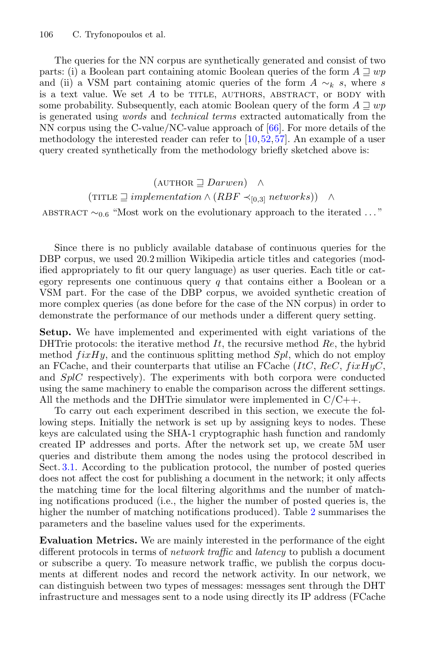The queries for the NN corpus are synthetically generated and consist of two parts: (i) a Boolean part containing atomic Boolean queries of the form  $A \sqsupset wp$ and (ii) a VSM part containing atomic queries of the form  $A \sim_k s$ , where s is a text value. We set  $A$  to be TITLE, AUTHORS, ABSTRACT, or BODY with some probability. Subsequently, each atomic Boolean query of the form  $A \sqsupset wp$ is generated using *words* and *technical terms* extracted automatically from the NN corpus using the C-value/NC-value approach of [\[66\]](#page-31-8). For more details of the methodology the interested reader can refer to  $[10, 52, 57]$  $[10, 52, 57]$  $[10, 52, 57]$  $[10, 52, 57]$ . An example of a user query created synthetically from the methodology briefly sketched above is:

$$
(\text{AUTHOR} \sqsupseteq \text{Darwen}) \land
$$
  

$$
(\text{TITLE} \sqsupseteq \text{implementation} \land (\text{RBF} \prec_{[0,3]} \text{networks})) \land
$$

ABSTRACT  $~\sim_{0.6}$  "Most work on the evolutionary approach to the iterated ..."

Since there is no publicly available database of continuous queries for the DBP corpus, we used  $20.2$  million Wikipedia article titles and categories (modified appropriately to fit our query language) as user queries. Each title or category represents one continuous query  $q$  that contains either a Boolean or a VSM part. For the case of the DBP corpus, we avoided synthetic creation of more complex queries (as done before for the case of the NN corpus) in order to demonstrate the performance of our methods under a different query setting.

**Setup.** We have implemented and experimented with eight variations of the DHTrie protocols: the iterative method  $It$ , the recursive method  $Re$ , the hybrid method  $fixHy$ , and the continuous splitting method  $Spl$ , which do not employ an FCache, and their counterparts that utilise an FCache (ItC, ReC,  $fixHyC$ , and SplC respectively). The experiments with both corpora were conducted using the same machinery to enable the comparison across the different settings. All the methods and the DHTrie simulator were implemented in  $C/C++$ .

To carry out each experiment described in this section, we execute the following steps. Initially the network is set up by assigning keys to nodes. These keys are calculated using the SHA-1 cryptographic hash function and randomly created IP addresses and ports. After the network set up, we create 5M user queries and distribute them among the nodes using the protocol described in Sect. [3.1.](#page-5-1) According to the publication protocol, the number of posted queries does not affect the cost for publishing a document in the network; it only affects the matching time for the local filtering algorithms and the number of matching notifications produced (i.e., the higher the number of posted queries is, the higher the number of matching notifications produced). Table [2](#page-16-0) summarises the parameters and the baseline values used for the experiments.

**Evaluation Metrics.** We are mainly interested in the performance of the eight different protocols in terms of *network traffic* and *latency* to publish a document or subscribe a query. To measure network traffic, we publish the corpus documents at different nodes and record the network activity. In our network, we can distinguish between two types of messages: messages sent through the DHT infrastructure and messages sent to a node using directly its IP address (FCache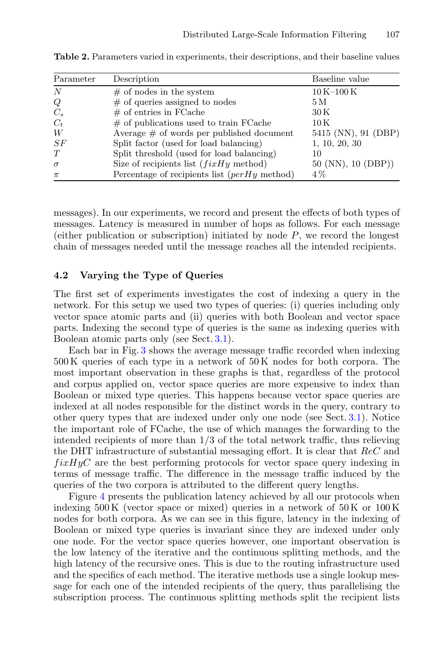| Parameter      | Description                                    | Baseline value           |
|----------------|------------------------------------------------|--------------------------|
| $\overline{N}$ | $#$ of nodes in the system                     | $10 K - 100 K$           |
| Q              | $#$ of queries assigned to nodes               | 5 M                      |
| $C_s$          | $\#$ of entries in FCache                      | 30 K                     |
| $C_t$          | $\#$ of publications used to train FCache      | $10\,\mathrm{K}$         |
| W              | Average $\#$ of words per published document   | 5415 (NN), 91 (DBP)      |
| SF             | Split factor (used for load balancing)         | 1, 10, 20, 30            |
| T              | Split threshold (used for load balancing)      | 10                       |
| $\sigma$       | Size of recipients list $(fixHy$ method)       | $50 \ (NN), 10 \ (DBP))$ |
| $\pi$          | Percentage of recipients list $(perHy$ method) | $4\%$                    |

<span id="page-16-0"></span>**Table 2.** Parameters varied in experiments, their descriptions, and their baseline values

messages). In our experiments, we record and present the effects of both types of messages. Latency is measured in number of hops as follows. For each message (either publication or subscription) initiated by node  $P$ , we record the longest chain of messages needed until the message reaches all the intended recipients.

#### **4.2 Varying the Type of Queries**

The first set of experiments investigates the cost of indexing a query in the network. For this setup we used two types of queries: (i) queries including only vector space atomic parts and (ii) queries with both Boolean and vector space parts. Indexing the second type of queries is the same as indexing queries with Boolean atomic parts only (see Sect. [3.1\)](#page-5-1).

Each bar in Fig. [3](#page-17-0) shows the average message traffic recorded when indexing 500 K queries of each type in a network of 50 K nodes for both corpora. The most important observation in these graphs is that, regardless of the protocol and corpus applied on, vector space queries are more expensive to index than Boolean or mixed type queries. This happens because vector space queries are indexed at all nodes responsible for the distinct words in the query, contrary to other query types that are indexed under only one node (see Sect. [3.1\)](#page-5-1). Notice the important role of FCache, the use of which manages the forwarding to the intended recipients of more than 1/3 of the total network traffic, thus relieving the DHT infrastructure of substantial messaging effort. It is clear that ReC and  $fixHyC$  are the best performing protocols for vector space query indexing in terms of message traffic. The difference in the message traffic induced by the queries of the two corpora is attributed to the different query lengths.

Figure [4](#page-17-1) presents the publication latency achieved by all our protocols when indexing  $500 \text{ K}$  (vector space or mixed) queries in a network of  $50 \text{ K}$  or  $100 \text{ K}$ nodes for both corpora. As we can see in this figure, latency in the indexing of Boolean or mixed type queries is invariant since they are indexed under only one node. For the vector space queries however, one important observation is the low latency of the iterative and the continuous splitting methods, and the high latency of the recursive ones. This is due to the routing infrastructure used and the specifics of each method. The iterative methods use a single lookup message for each one of the intended recipients of the query, thus parallelising the subscription process. The continuous splitting methods split the recipient lists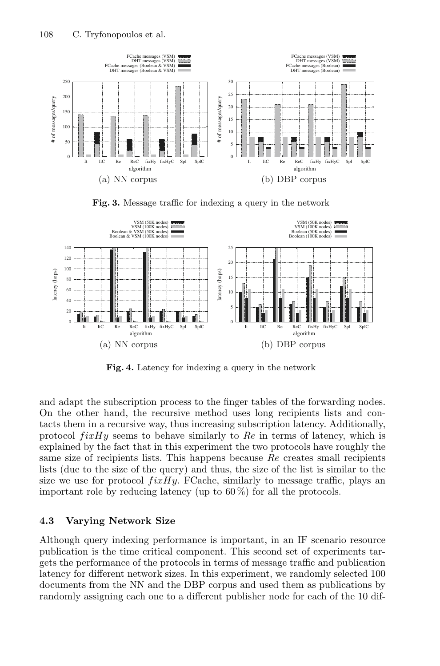

**Fig. 3.** Message traffic for indexing a query in the network

<span id="page-17-0"></span>

**Fig. 4.** Latency for indexing a query in the network

<span id="page-17-1"></span>and adapt the subscription process to the finger tables of the forwarding nodes. On the other hand, the recursive method uses long recipients lists and contacts them in a recursive way, thus increasing subscription latency. Additionally, protocol  $fixHy$  seems to behave similarly to  $Re$  in terms of latency, which is explained by the fact that in this experiment the two protocols have roughly the same size of recipients lists. This happens because  $Re$  creates small recipients lists (due to the size of the query) and thus, the size of the list is similar to the size we use for protocol  $fixHy$ . FCache, similarly to message traffic, plays an important role by reducing latency (up to  $60\%$ ) for all the protocols.

### **4.3 Varying Network Size**

Although query indexing performance is important, in an IF scenario resource publication is the time critical component. This second set of experiments targets the performance of the protocols in terms of message traffic and publication latency for different network sizes. In this experiment, we randomly selected 100 documents from the NN and the DBP corpus and used them as publications by randomly assigning each one to a different publisher node for each of the 10 dif-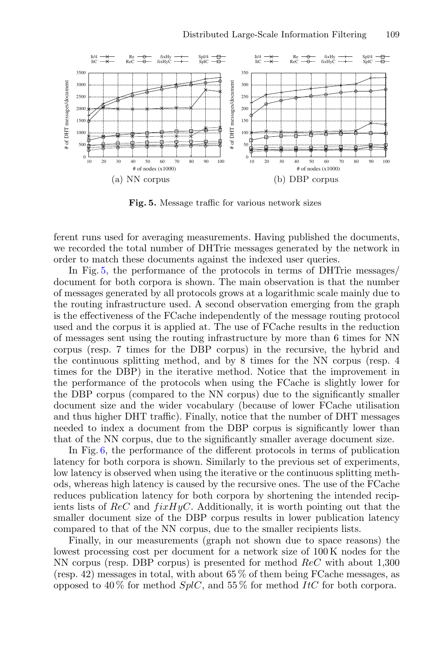

<span id="page-18-0"></span>**Fig. 5.** Message traffic for various network sizes

ferent runs used for averaging measurements. Having published the documents, we recorded the total number of DHTrie messages generated by the network in order to match these documents against the indexed user queries.

In Fig. [5,](#page-18-0) the performance of the protocols in terms of DHTrie messages/ document for both corpora is shown. The main observation is that the number of messages generated by all protocols grows at a logarithmic scale mainly due to the routing infrastructure used. A second observation emerging from the graph is the effectiveness of the FCache independently of the message routing protocol used and the corpus it is applied at. The use of FCache results in the reduction of messages sent using the routing infrastructure by more than 6 times for NN corpus (resp. 7 times for the DBP corpus) in the recursive, the hybrid and the continuous splitting method, and by 8 times for the NN corpus (resp. 4 times for the DBP) in the iterative method. Notice that the improvement in the performance of the protocols when using the FCache is slightly lower for the DBP corpus (compared to the NN corpus) due to the significantly smaller document size and the wider vocabulary (because of lower FCache utilisation and thus higher DHT traffic). Finally, notice that the number of DHT messages needed to index a document from the DBP corpus is significantly lower than that of the NN corpus, due to the significantly smaller average document size.

In Fig. [6,](#page-19-1) the performance of the different protocols in terms of publication latency for both corpora is shown. Similarly to the previous set of experiments, low latency is observed when using the iterative or the continuous splitting methods, whereas high latency is caused by the recursive ones. The use of the FCache reduces publication latency for both corpora by shortening the intended recipients lists of  $ReC$  and  $fixHyC$ . Additionally, it is worth pointing out that the smaller document size of the DBP corpus results in lower publication latency compared to that of the NN corpus, due to the smaller recipients lists.

Finally, in our measurements (graph not shown due to space reasons) the lowest processing cost per document for a network size of 100 K nodes for the NN corpus (resp. DBP corpus) is presented for method ReC with about 1,300 (resp. 42) messages in total, with about 65 % of them being FCache messages, as opposed to 40 % for method  $SpIC$ , and 55 % for method ItC for both corpora.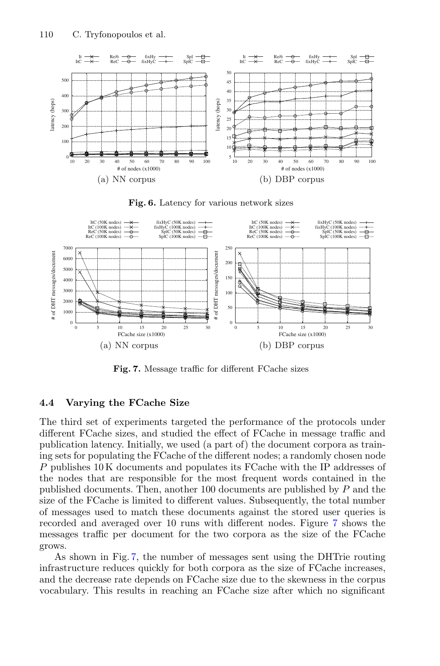

<span id="page-19-1"></span>**Fig. 6.** Latency for various network sizes



<span id="page-19-2"></span>**Fig. 7.** Message traffic for different FCache sizes

### <span id="page-19-0"></span>**4.4 Varying the FCache Size**

The third set of experiments targeted the performance of the protocols under different FCache sizes, and studied the effect of FCache in message traffic and publication latency. Initially, we used (a part of) the document corpora as training sets for populating the FCache of the different nodes; a randomly chosen node P publishes 10 K documents and populates its FCache with the IP addresses of the nodes that are responsible for the most frequent words contained in the published documents. Then, another 100 documents are published by  $P$  and the size of the FCache is limited to different values. Subsequently, the total number of messages used to match these documents against the stored user queries is recorded and averaged over 10 runs with different nodes. Figure [7](#page-19-2) shows the messages traffic per document for the two corpora as the size of the FCache grows.

As shown in Fig. [7,](#page-19-2) the number of messages sent using the DHTrie routing infrastructure reduces quickly for both corpora as the size of FCache increases, and the decrease rate depends on FCache size due to the skewness in the corpus vocabulary. This results in reaching an FCache size after which no significant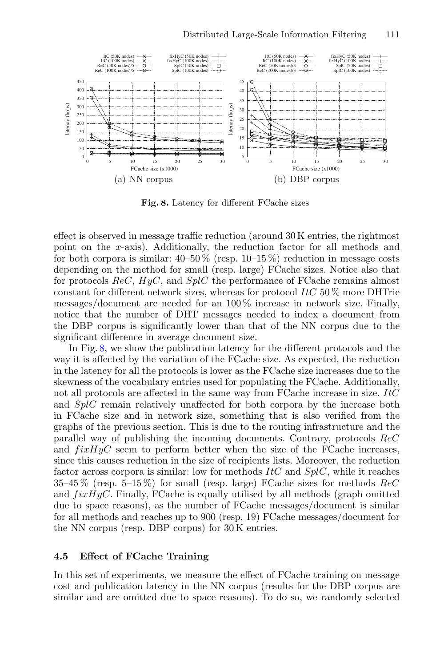

<span id="page-20-0"></span>**Fig. 8.** Latency for different FCache sizes

effect is observed in message traffic reduction (around 30 K entries, the rightmost point on the x-axis). Additionally, the reduction factor for all methods and for both corpora is similar:  $40-50\%$  (resp.  $10-15\%$ ) reduction in message costs depending on the method for small (resp. large) FCache sizes. Notice also that for protocols  $ReC$ ,  $H\psi C$ , and  $S\psi C$  the performance of FCache remains almost constant for different network sizes, whereas for protocol  $\textit{ItC}$  50 % more DHTrie messages/document are needed for an 100 % increase in network size. Finally, notice that the number of DHT messages needed to index a document from the DBP corpus is significantly lower than that of the NN corpus due to the significant difference in average document size.

In Fig. [8,](#page-20-0) we show the publication latency for the different protocols and the way it is affected by the variation of the FCache size. As expected, the reduction in the latency for all the protocols is lower as the FCache size increases due to the skewness of the vocabulary entries used for populating the FCache. Additionally, not all protocols are affected in the same way from FCache increase in size. ItC and SplC remain relatively unaffected for both corpora by the increase both in FCache size and in network size, something that is also verified from the graphs of the previous section. This is due to the routing infrastructure and the parallel way of publishing the incoming documents. Contrary, protocols ReC and  $fixHyC$  seem to perform better when the size of the FCache increases, since this causes reduction in the size of recipients lists. Moreover, the reduction factor across corpora is similar: low for methods  $ItC$  and  $SplC$ , while it reaches  $35-45\%$  (resp.  $5-15\%$ ) for small (resp. large) FCache sizes for methods  $Rec$ and  $fixH\mathit{yC}$ . Finally, FCache is equally utilised by all methods (graph omitted due to space reasons), as the number of FCache messages/document is similar for all methods and reaches up to 900 (resp. 19) FCache messages/document for the NN corpus (resp. DBP corpus) for 30 K entries.

### **4.5 Effect of FCache Training**

In this set of experiments, we measure the effect of FCache training on message cost and publication latency in the NN corpus (results for the DBP corpus are similar and are omitted due to space reasons). To do so, we randomly selected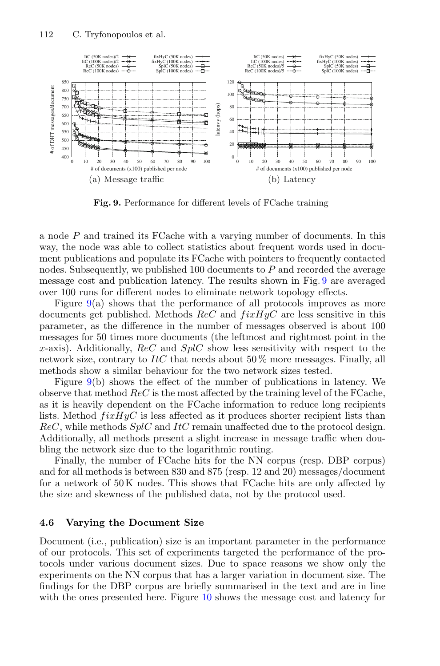

**Fig. 9.** Performance for different levels of FCache training

<span id="page-21-0"></span>a node P and trained its FCache with a varying number of documents. In this way, the node was able to collect statistics about frequent words used in document publications and populate its FCache with pointers to frequently contacted nodes. Subsequently, we published 100 documents to  $P$  and recorded the average message cost and publication latency. The results shown in Fig. [9](#page-21-0) are averaged over 100 runs for different nodes to eliminate network topology effects.

Figure  $9(a)$  $9(a)$  shows that the performance of all protocols improves as more documents get published. Methods  $ReC$  and  $fixH\nu C$  are less sensitive in this parameter, as the difference in the number of messages observed is about 100 messages for 50 times more documents (the leftmost and rightmost point in the x-axis). Additionally,  $Rec$  and  $SplC$  show less sensitivity with respect to the network size, contrary to  $ItC$  that needs about 50 % more messages. Finally, all methods show a similar behaviour for the two network sizes tested.

Figure [9\(](#page-21-0)b) shows the effect of the number of publications in latency. We observe that method  $ReC$  is the most affected by the training level of the FCache, as it is heavily dependent on the FCache information to reduce long recipients lists. Method  $fixH\psi C$  is less affected as it produces shorter recipient lists than  $Rec$ , while methods  $SplC$  and  $ItC$  remain unaffected due to the protocol design. Additionally, all methods present a slight increase in message traffic when doubling the network size due to the logarithmic routing.

Finally, the number of FCache hits for the NN corpus (resp. DBP corpus) and for all methods is between 830 and 875 (resp. 12 and 20) messages/document for a network of 50 K nodes. This shows that FCache hits are only affected by the size and skewness of the published data, not by the protocol used.

#### **4.6 Varying the Document Size**

Document (i.e., publication) size is an important parameter in the performance of our protocols. This set of experiments targeted the performance of the protocols under various document sizes. Due to space reasons we show only the experiments on the NN corpus that has a larger variation in document size. The findings for the DBP corpus are briefly summarised in the text and are in line with the ones presented here. Figure [10](#page-22-0) shows the message cost and latency for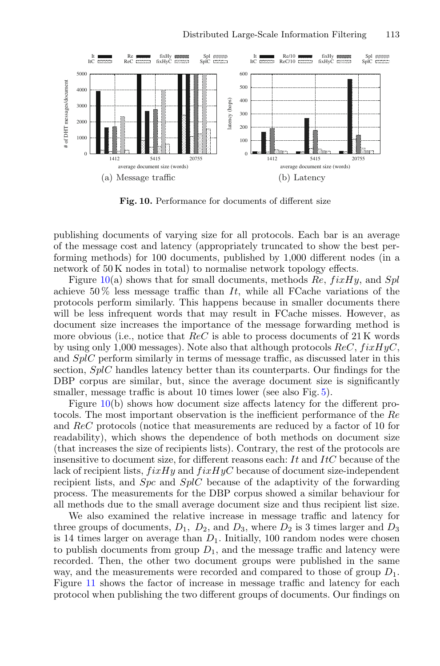

<span id="page-22-0"></span>**Fig. 10.** Performance for documents of different size

publishing documents of varying size for all protocols. Each bar is an average of the message cost and latency (appropriately truncated to show the best performing methods) for 100 documents, published by 1,000 different nodes (in a network of 50 K nodes in total) to normalise network topology effects.

Figure  $10(a)$  $10(a)$  shows that for small documents, methods Re,  $fixHy$ , and Spl achieve 50 % less message traffic than It, while all FCache variations of the protocols perform similarly. This happens because in smaller documents there will be less infrequent words that may result in FCache misses. However, as document size increases the importance of the message forwarding method is more obvious (i.e., notice that  $ReC$  is able to process documents of 21 K words by using only 1,000 messages). Note also that although protocols  $ReC$ ,  $fixHyC$ , and SplC perform similarly in terms of message traffic, as discussed later in this section,  $SplC$  handles latency better than its counterparts. Our findings for the DBP corpus are similar, but, since the average document size is significantly smaller, message traffic is about 10 times lower (see also Fig. [5\)](#page-18-0).

Figure [10\(](#page-22-0)b) shows how document size affects latency for the different protocols. The most important observation is the inefficient performance of the Re and ReC protocols (notice that measurements are reduced by a factor of 10 for readability), which shows the dependence of both methods on document size (that increases the size of recipients lists). Contrary, the rest of the protocols are insensitive to document size, for different reasons each: It and  $ItC$  because of the lack of recipient lists,  $fixHy$  and  $fixHyC$  because of document size-independent recipient lists, and Spc and SplC because of the adaptivity of the forwarding process. The measurements for the DBP corpus showed a similar behaviour for all methods due to the small average document size and thus recipient list size.

We also examined the relative increase in message traffic and latency for three groups of documents,  $D_1$ ,  $D_2$ , and  $D_3$ , where  $D_2$  is 3 times larger and  $D_3$ is 14 times larger on average than  $D_1$ . Initially, 100 random nodes were chosen to publish documents from group  $D_1$ , and the message traffic and latency were recorded. Then, the other two document groups were published in the same way, and the measurements were recorded and compared to those of group  $D_1$ . Figure [11](#page-23-0) shows the factor of increase in message traffic and latency for each protocol when publishing the two different groups of documents. Our findings on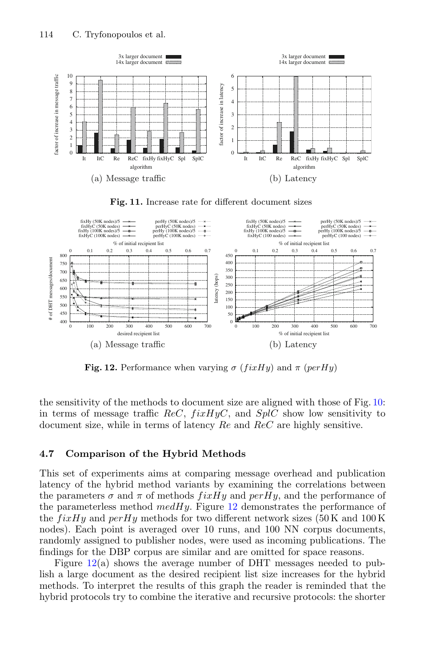

<span id="page-23-0"></span>**Fig. 11.** Increase rate for different document sizes



**Fig. 12.** Performance when varying  $\sigma$  (fixHy) and  $\pi$  (perHy)

<span id="page-23-1"></span>the sensitivity of the methods to document size are aligned with those of Fig. [10:](#page-22-0) in terms of message traffic ReC,  $fixHyC$ , and  $SplC$  show low sensitivity to document size, while in terms of latency Re and ReC are highly sensitive.

#### **4.7 Comparison of the Hybrid Methods**

This set of experiments aims at comparing message overhead and publication latency of the hybrid method variants by examining the correlations between the parameters  $\sigma$  and  $\pi$  of methods  $fixHy$  and  $perHy$ , and the performance of the parameterless method  $medHy.$  Figure [12](#page-23-1) demonstrates the performance of the  $fixHy$  and  $perHy$  methods for two different network sizes (50 K and 100 K nodes). Each point is averaged over 10 runs, and 100 NN corpus documents, randomly assigned to publisher nodes, were used as incoming publications. The findings for the DBP corpus are similar and are omitted for space reasons.

Figure [12\(](#page-23-1)a) shows the average number of DHT messages needed to publish a large document as the desired recipient list size increases for the hybrid methods. To interpret the results of this graph the reader is reminded that the hybrid protocols try to combine the iterative and recursive protocols: the shorter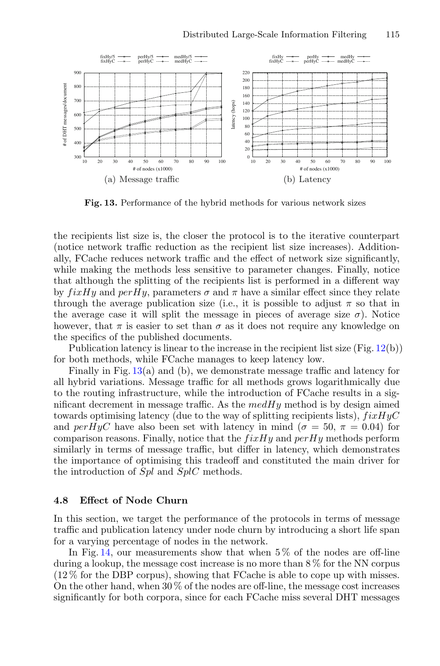

**Fig. 13.** Performance of the hybrid methods for various network sizes

<span id="page-24-1"></span>the recipients list size is, the closer the protocol is to the iterative counterpart (notice network traffic reduction as the recipient list size increases). Additionally, FCache reduces network traffic and the effect of network size significantly, while making the methods less sensitive to parameter changes. Finally, notice that although the splitting of the recipients list is performed in a different way by  $fixHy$  and  $perHy$ , parameters  $\sigma$  and  $\pi$  have a similar effect since they relate through the average publication size (i.e., it is possible to adjust  $\pi$  so that in the average case it will split the message in pieces of average size  $\sigma$ ). Notice however, that  $\pi$  is easier to set than  $\sigma$  as it does not require any knowledge on the specifics of the published documents.

Publication latency is linear to the increase in the recipient list size (Fig. [12\(](#page-23-1)b)) for both methods, while FCache manages to keep latency low.

Finally in Fig.  $13(a)$  $13(a)$  and (b), we demonstrate message traffic and latency for all hybrid variations. Message traffic for all methods grows logarithmically due to the routing infrastructure, while the introduction of FCache results in a significant decrement in message traffic. As the  $medHy$  method is by design aimed towards optimising latency (due to the way of splitting recipients lists),  $fixH\mathit{uC}$ and perHyC have also been set with latency in mind ( $\sigma = 50$ ,  $\pi = 0.04$ ) for comparison reasons. Finally, notice that the  $fixHy$  and  $perHy$  methods perform similarly in terms of message traffic, but differ in latency, which demonstrates the importance of optimising this tradeoff and constituted the main driver for the introduction of Spl and SplC methods.

### <span id="page-24-0"></span>**4.8 Effect of Node Churn**

In this section, we target the performance of the protocols in terms of message traffic and publication latency under node churn by introducing a short life span for a varying percentage of nodes in the network.

In Fig. [14,](#page-25-1) our measurements show that when  $5\%$  of the nodes are off-line during a lookup, the message cost increase is no more than 8 % for the NN corpus (12 % for the DBP corpus), showing that FCache is able to cope up with misses. On the other hand, when 30 % of the nodes are off-line, the message cost increases significantly for both corpora, since for each FCache miss several DHT messages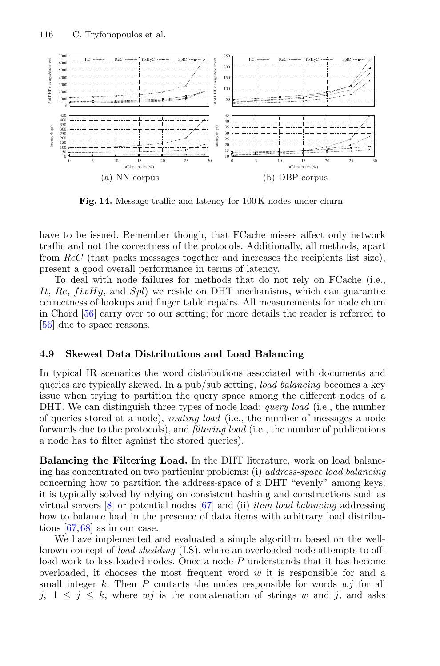

**Fig. 14.** Message traffic and latency for 100 K nodes under churn

<span id="page-25-1"></span>have to be issued. Remember though, that FCache misses affect only network traffic and not the correctness of the protocols. Additionally, all methods, apart from  $Rec$  (that packs messages together and increases the recipients list size), present a good overall performance in terms of latency.

To deal with node failures for methods that do not rely on FCache (i.e., It, Re,  $fixHy$ , and  $Spl$ ) we reside on DHT mechanisms, which can guarantee correctness of lookups and finger table repairs. All measurements for node churn in Chord [\[56\]](#page-30-16) carry over to our setting; for more details the reader is referred to [\[56](#page-30-16)] due to space reasons.

### <span id="page-25-0"></span>**4.9 Skewed Data Distributions and Load Balancing**

In typical IR scenarios the word distributions associated with documents and queries are typically skewed. In a pub/sub setting, *load balancing* becomes a key issue when trying to partition the query space among the different nodes of a DHT. We can distinguish three types of node load: *query load* (i.e., the number of queries stored at a node), *routing load* (i.e., the number of messages a node forwards due to the protocols), and *filtering load* (i.e., the number of publications a node has to filter against the stored queries).

**Balancing the Filtering Load.** In the DHT literature, work on load balancing has concentrated on two particular problems: (i) *address-space load balancing* concerning how to partition the address-space of a DHT "evenly" among keys; it is typically solved by relying on consistent hashing and constructions such as virtual servers [\[8\]](#page-28-5) or potential nodes [\[67\]](#page-31-9) and (ii) *item load balancing* addressing how to balance load in the presence of data items with arbitrary load distributions [\[67,](#page-31-9)[68](#page-31-10)] as in our case.

We have implemented and evaluated a simple algorithm based on the wellknown concept of *load-shedding* (LS), where an overloaded node attempts to offload work to less loaded nodes. Once a node P understands that it has become overloaded, it chooses the most frequent word  $w$  it is responsible for and a small integer  $k$ . Then  $P$  contacts the nodes responsible for words  $wj$  for all j,  $1 \leq j \leq k$ , where wj is the concatenation of strings w and j, and asks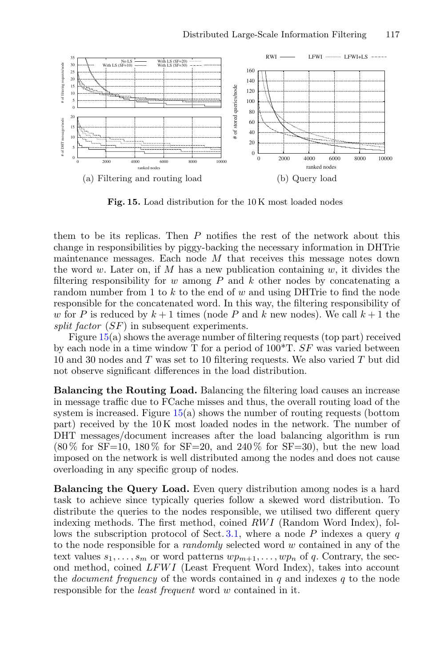

**Fig. 15.** Load distribution for the 10 K most loaded nodes

<span id="page-26-0"></span>them to be its replicas. Then P notifies the rest of the network about this change in responsibilities by piggy-backing the necessary information in DHTrie maintenance messages. Each node M that receives this message notes down the word w. Later on, if M has a new publication containing w, it divides the filtering responsibility for w among  $P$  and  $k$  other nodes by concatenating a random number from 1 to k to the end of w and using DHTrie to find the node responsible for the concatenated word. In this way, the filtering responsibility of w for P is reduced by  $k+1$  times (node P and k new nodes). We call  $k+1$  the *split factor*  $(SF)$  in subsequent experiments.

Figure  $15(a)$  $15(a)$  shows the average number of filtering requests (top part) received by each node in a time window T for a period of  $100^*$ T.  $SF$  was varied between 10 and 30 nodes and T was set to 10 filtering requests. We also varied T but did not observe significant differences in the load distribution.

**Balancing the Routing Load.** Balancing the filtering load causes an increase in message traffic due to FCache misses and thus, the overall routing load of the system is increased. Figure  $15(a)$  $15(a)$  shows the number of routing requests (bottom part) received by the 10 K most loaded nodes in the network. The number of DHT messages/document increases after the load balancing algorithm is run  $(80\% \text{ for SF=10}, 180\% \text{ for SF=20}, \text{ and } 240\% \text{ for SF=30}), \text{ but the new load}$ imposed on the network is well distributed among the nodes and does not cause overloading in any specific group of nodes.

**Balancing the Query Load.** Even query distribution among nodes is a hard task to achieve since typically queries follow a skewed word distribution. To distribute the queries to the nodes responsible, we utilised two different query indexing methods. The first method, coined RWI (Random Word Index), fol-lows the subscription protocol of Sect. [3.1,](#page-5-1) where a node  $P$  indexes a query  $q$ to the node responsible for a *randomly* selected word w contained in any of the text values  $s_1, \ldots, s_m$  or word patterns  $wp_{m+1}, \ldots, wp_n$  of q. Contrary, the second method, coined LFWI (Least Frequent Word Index), takes into account the *document frequency* of the words contained in q and indexes q to the node responsible for the *least frequent* word w contained in it.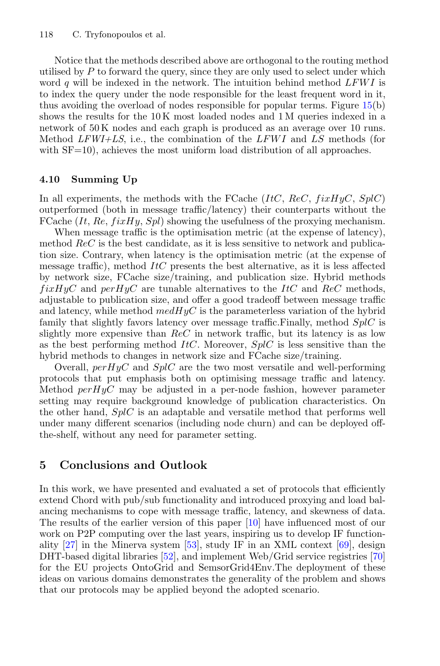Notice that the methods described above are orthogonal to the routing method utilised by  $P$  to forward the query, since they are only used to select under which word  $q$  will be indexed in the network. The intuition behind method  $LFWI$  is to index the query under the node responsible for the least frequent word in it, thus avoiding the overload of nodes responsible for popular terms. Figure [15\(](#page-26-0)b) shows the results for the 10 K most loaded nodes and 1 M queries indexed in a network of 50 K nodes and each graph is produced as an average over 10 runs. Method *LFWI+LS*, i.e., the combination of the LFWI and LS methods (for with  $SF=10$ , achieves the most uniform load distribution of all approaches.

### **4.10 Summing Up**

In all experiments, the methods with the FCache (ItC, ReC,  $fixHyC$ ,  $SpIC$ ) outperformed (both in message traffic/latency) their counterparts without the FCache (It, Re,  $fixHu, Spl$ ) showing the usefulness of the proxying mechanism.

When message traffic is the optimisation metric (at the expense of latency), method  $Rec$  is the best candidate, as it is less sensitive to network and publication size. Contrary, when latency is the optimisation metric (at the expense of message traffic), method  $ItC$  presents the best alternative, as it is less affected by network size, FCache size/training, and publication size. Hybrid methods  $fixHyC$  and  $perHyC$  are tunable alternatives to the ItC and ReC methods, adjustable to publication size, and offer a good tradeoff between message traffic and latency, while method  $medHyC$  is the parameterless variation of the hybrid family that slightly favors latency over message traffic.Finally, method SplC is slightly more expensive than  $Rec$  in network traffic, but its latency is as low as the best performing method ItC. Moreover,  $SplC$  is less sensitive than the hybrid methods to changes in network size and FCache size/training.

Overall,  $perHyC$  and  $SplC$  are the two most versatile and well-performing protocols that put emphasis both on optimising message traffic and latency. Method  $perHyC$  may be adjusted in a per-node fashion, however parameter setting may require background knowledge of publication characteristics. On the other hand, SplC is an adaptable and versatile method that performs well under many different scenarios (including node churn) and can be deployed offthe-shelf, without any need for parameter setting.

# <span id="page-27-0"></span>**5 Conclusions and Outlook**

In this work, we have presented and evaluated a set of protocols that efficiently extend Chord with pub/sub functionality and introduced proxying and load balancing mechanisms to cope with message traffic, latency, and skewness of data. The results of the earlier version of this paper [\[10\]](#page-28-7) have influenced most of our work on P2P computing over the last years, inspiring us to develop IF functionality  $[27]$  $[27]$  in the Minerva system  $[53]$ , study IF in an XML context  $[69]$ , design DHT-based digital libraries [\[52](#page-30-12)], and implement Web/Grid service registries [\[70](#page-31-12)] for the EU projects OntoGrid and SemsorGrid4Env.The deployment of these ideas on various domains demonstrates the generality of the problem and shows that our protocols may be applied beyond the adopted scenario.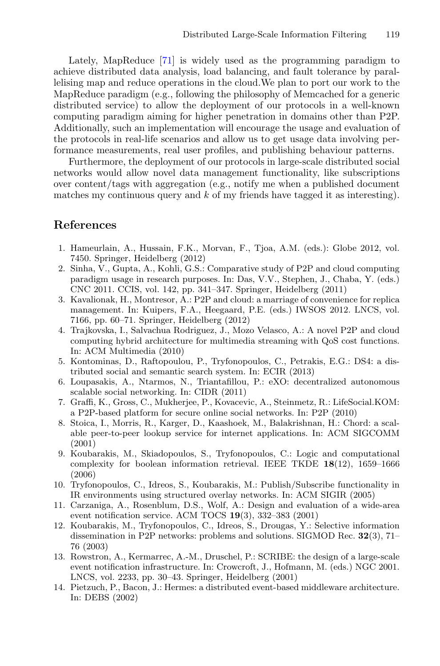Lately, MapReduce [\[71](#page-31-13)] is widely used as the programming paradigm to achieve distributed data analysis, load balancing, and fault tolerance by parallelising map and reduce operations in the cloud.We plan to port our work to the MapReduce paradigm (e.g., following the philosophy of Memcached for a generic distributed service) to allow the deployment of our protocols in a well-known computing paradigm aiming for higher penetration in domains other than P2P. Additionally, such an implementation will encourage the usage and evaluation of the protocols in real-life scenarios and allow us to get usage data involving performance measurements, real user profiles, and publishing behaviour patterns.

Furthermore, the deployment of our protocols in large-scale distributed social networks would allow novel data management functionality, like subscriptions over content/tags with aggregation (e.g., notify me when a published document matches my continuous query and  $k$  of my friends have tagged it as interesting).

# <span id="page-28-0"></span>**References**

- 1. Hameurlain, A., Hussain, F.K., Morvan, F., Tjoa, A.M. (eds.): Globe 2012, vol. 7450. Springer, Heidelberg (2012)
- 2. Sinha, V., Gupta, A., Kohli, G.S.: Comparative study of P2P and cloud computing paradigm usage in research purposes. In: Das, V.V., Stephen, J., Chaba, Y. (eds.) CNC 2011. CCIS, vol. 142, pp. 341–347. Springer, Heidelberg (2011)
- <span id="page-28-1"></span>3. Kavalionak, H., Montresor, A.: P2P and cloud: a marriage of convenience for replica management. In: Kuipers, F.A., Heegaard, P.E. (eds.) IWSOS 2012. LNCS, vol. 7166, pp. 60–71. Springer, Heidelberg (2012)
- <span id="page-28-2"></span>4. Trajkovska, I., Salvachua Rodriguez, J., Mozo Velasco, A.: A novel P2P and cloud computing hybrid architecture for multimedia streaming with QoS cost functions. In: ACM Multimedia (2010)
- <span id="page-28-3"></span>5. Kontominas, D., Raftopoulou, P., Tryfonopoulos, C., Petrakis, E.G.: DS4: a distributed social and semantic search system. In: ECIR (2013)
- <span id="page-28-12"></span>6. Loupasakis, A., Ntarmos, N., Triantafillou, P.: eXO: decentralized autonomous scalable social networking. In: CIDR (2011)
- <span id="page-28-4"></span>7. Graffi, K., Gross, C., Mukherjee, P., Kovacevic, A., Steinmetz, R.: LifeSocial.KOM: a P2P-based platform for secure online social networks. In: P2P (2010)
- <span id="page-28-5"></span>8. Stoica, I., Morris, R., Karger, D., Kaashoek, M., Balakrishnan, H.: Chord: a scalable peer-to-peer lookup service for internet applications. In: ACM SIGCOMM (2001)
- <span id="page-28-6"></span>9. Koubarakis, M., Skiadopoulos, S., Tryfonopoulos, C.: Logic and computational complexity for boolean information retrieval. IEEE TKDE **18**(12), 1659–1666 (2006)
- <span id="page-28-7"></span>10. Tryfonopoulos, C., Idreos, S., Koubarakis, M.: Publish/Subscribe functionality in IR environments using structured overlay networks. In: ACM SIGIR (2005)
- <span id="page-28-8"></span>11. Carzaniga, A., Rosenblum, D.S., Wolf, A.: Design and evaluation of a wide-area event notification service. ACM TOCS **19**(3), 332–383 (2001)
- <span id="page-28-9"></span>12. Koubarakis, M., Tryfonopoulos, C., Idreos, S., Drougas, Y.: Selective information dissemination in P2P networks: problems and solutions. SIGMOD Rec. **32**(3), 71– 76 (2003)
- <span id="page-28-10"></span>13. Rowstron, A., Kermarrec, A.-M., Druschel, P.: SCRIBE: the design of a large-scale event notification infrastructure. In: Crowcroft, J., Hofmann, M. (eds.) NGC 2001. LNCS, vol. 2233, pp. 30–43. Springer, Heidelberg (2001)
- <span id="page-28-11"></span>14. Pietzuch, P., Bacon, J.: Hermes: a distributed event-based middleware architecture. In: DEBS (2002)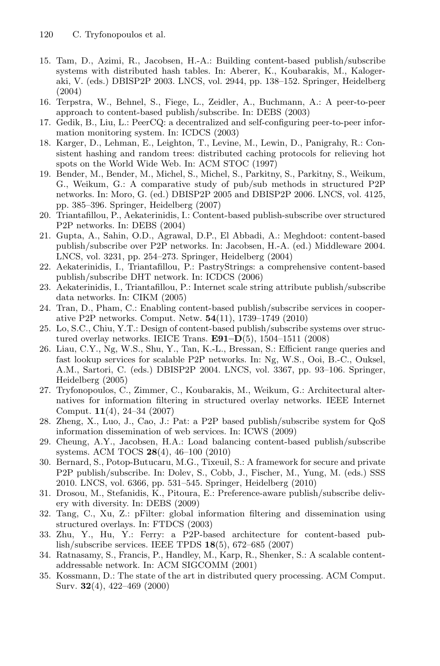- <span id="page-29-0"></span>15. Tam, D., Azimi, R., Jacobsen, H.-A.: Building content-based publish/subscribe systems with distributed hash tables. In: Aberer, K., Koubarakis, M., Kalogeraki, V. (eds.) DBISP2P 2003. LNCS, vol. 2944, pp. 138–152. Springer, Heidelberg (2004)
- <span id="page-29-1"></span>16. Terpstra, W., Behnel, S., Fiege, L., Zeidler, A., Buchmann, A.: A peer-to-peer approach to content-based publish/subscribe. In: DEBS (2003)
- <span id="page-29-2"></span>17. Gedik, B., Liu, L.: PeerCQ: a decentralized and self-configuring peer-to-peer information monitoring system. In: ICDCS (2003)
- <span id="page-29-3"></span>18. Karger, D., Lehman, E., Leighton, T., Levine, M., Lewin, D., Panigrahy, R.: Consistent hashing and random trees: distributed caching protocols for relieving hot spots on the World Wide Web. In: ACM STOC (1997)
- <span id="page-29-4"></span>19. Bender, M., Bender, M., Michel, S., Michel, S., Parkitny, S., Parkitny, S., Weikum, G., Weikum, G.: A comparative study of pub/sub methods in structured P2P networks. In: Moro, G. (ed.) DBISP2P 2005 and DBISP2P 2006. LNCS, vol. 4125, pp. 385–396. Springer, Heidelberg (2007)
- <span id="page-29-5"></span>20. Triantafillou, P., Aekaterinidis, I.: Content-based publish-subscribe over structured P2P networks. In: DEBS (2004)
- <span id="page-29-6"></span>21. Gupta, A., Sahin, O.D., Agrawal, D.P., El Abbadi, A.: Meghdoot: content-based publish/subscribe over P2P networks. In: Jacobsen, H.-A. (ed.) Middleware 2004. LNCS, vol. 3231, pp. 254–273. Springer, Heidelberg (2004)
- <span id="page-29-7"></span>22. Aekaterinidis, I., Triantafillou, P.: PastryStrings: a comprehensive content-based publish/subscribe DHT network. In: ICDCS (2006)
- <span id="page-29-8"></span>23. Aekaterinidis, I., Triantafillou, P.: Internet scale string attribute publish/subscribe data networks. In: CIKM (2005)
- <span id="page-29-9"></span>24. Tran, D., Pham, C.: Enabling content-based publish/subscribe services in cooperative P2P networks. Comput. Netw. **54**(11), 1739–1749 (2010)
- 25. Lo, S.C., Chiu, Y.T.: Design of content-based publish/subscribe systems over structured overlay networks. IEICE Trans. **E91–D**(5), 1504–1511 (2008)
- <span id="page-29-10"></span>26. Liau, C.Y., Ng, W.S., Shu, Y., Tan, K.-L., Bressan, S.: Efficient range queries and fast lookup services for scalable P2P networks. In: Ng, W.S., Ooi, B.-C., Ouksel, A.M., Sartori, C. (eds.) DBISP2P 2004. LNCS, vol. 3367, pp. 93–106. Springer, Heidelberg (2005)
- <span id="page-29-11"></span>27. Tryfonopoulos, C., Zimmer, C., Koubarakis, M., Weikum, G.: Architectural alternatives for information filtering in structured overlay networks. IEEE Internet Comput. **11**(4), 24–34 (2007)
- <span id="page-29-12"></span>28. Zheng, X., Luo, J., Cao, J.: Pat: a P2P based publish/subscribe system for QoS information dissemination of web services. In: ICWS (2009)
- <span id="page-29-13"></span>29. Cheung, A.Y., Jacobsen, H.A.: Load balancing content-based publish/subscribe systems. ACM TOCS **28**(4), 46–100 (2010)
- <span id="page-29-14"></span>30. Bernard, S., Potop-Butucaru, M.G., Tixeuil, S.: A framework for secure and private P2P publish/subscribe. In: Dolev, S., Cobb, J., Fischer, M., Yung, M. (eds.) SSS 2010. LNCS, vol. 6366, pp. 531–545. Springer, Heidelberg (2010)
- <span id="page-29-15"></span>31. Drosou, M., Stefanidis, K., Pitoura, E.: Preference-aware publish/subscribe delivery with diversity. In: DEBS (2009)
- <span id="page-29-16"></span>32. Tang, C., Xu, Z.: pFilter: global information filtering and dissemination using structured overlays. In: FTDCS (2003)
- <span id="page-29-17"></span>33. Zhu, Y., Hu, Y.: Ferry: a P2P-based architecture for content-based publish/subscribe services. IEEE TPDS **18**(5), 672–685 (2007)
- <span id="page-29-18"></span>34. Ratnasamy, S., Francis, P., Handley, M., Karp, R., Shenker, S.: A scalable contentaddressable network. In: ACM SIGCOMM (2001)
- <span id="page-29-19"></span>35. Kossmann, D.: The state of the art in distributed query processing. ACM Comput. Surv. **32**(4), 422–469 (2000)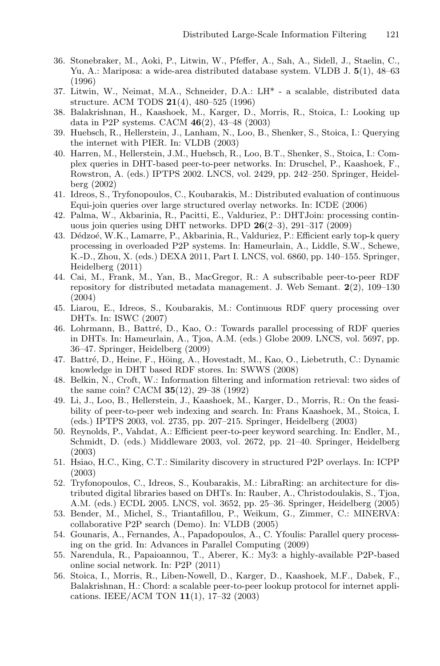- <span id="page-30-0"></span>36. Stonebraker, M., Aoki, P., Litwin, W., Pfeffer, A., Sah, A., Sidell, J., Staelin, C., Yu, A.: Mariposa: a wide-area distributed database system. VLDB J. **5**(1), 48–63 (1996)
- <span id="page-30-1"></span>37. Litwin, W., Neimat, M.A., Schneider, D.A.: LH\* - a scalable, distributed data structure. ACM TODS **21**(4), 480–525 (1996)
- <span id="page-30-2"></span>38. Balakrishnan, H., Kaashoek, M., Karger, D., Morris, R., Stoica, I.: Looking up data in P2P systems. CACM **46**(2), 43–48 (2003)
- <span id="page-30-3"></span>39. Huebsch, R., Hellerstein, J., Lanham, N., Loo, B., Shenker, S., Stoica, I.: Querying the internet with PIER. In: VLDB (2003)
- <span id="page-30-8"></span>40. Harren, M., Hellerstein, J.M., Huebsch, R., Loo, B.T., Shenker, S., Stoica, I.: Complex queries in DHT-based peer-to-peer networks. In: Druschel, P., Kaashoek, F., Rowstron, A. (eds.) IPTPS 2002. LNCS, vol. 2429, pp. 242–250. Springer, Heidelberg (2002)
- 41. Idreos, S., Tryfonopoulos, C., Koubarakis, M.: Distributed evaluation of continuous Equi-join queries over large structured overlay networks. In: ICDE (2006)
- 42. Palma, W., Akbarinia, R., Pacitti, E., Valduriez, P.: DHTJoin: processing continuous join queries using DHT networks. DPD **26**(2–3), 291–317 (2009)
- <span id="page-30-4"></span>43. D´edzo´e, W.K., Lamarre, P., Akbarinia, R., Valduriez, P.: Efficient early top-k query processing in overloaded P2P systems. In: Hameurlain, A., Liddle, S.W., Schewe, K.-D., Zhou, X. (eds.) DEXA 2011, Part I. LNCS, vol. 6860, pp. 140–155. Springer, Heidelberg (2011)
- <span id="page-30-5"></span>44. Cai, M., Frank, M., Yan, B., MacGregor, R.: A subscribable peer-to-peer RDF repository for distributed metadata management. J. Web Semant. **2**(2), 109–130 (2004)
- 45. Liarou, E., Idreos, S., Koubarakis, M.: Continuous RDF query processing over DHTs. In: ISWC (2007)
- 46. Lohrmann, B., Battré, D., Kao, O.: Towards parallel processing of RDF queries in DHTs. In: Hameurlain, A., Tjoa, A.M. (eds.) Globe 2009. LNCS, vol. 5697, pp. 36–47. Springer, Heidelberg (2009)
- <span id="page-30-6"></span>47. Battré, D., Heine, F., Höing, A., Hovestadt, M., Kao, O., Liebetruth, C.: Dynamic knowledge in DHT based RDF stores. In: SWWS (2008)
- <span id="page-30-7"></span>48. Belkin, N., Croft, W.: Information filtering and information retrieval: two sides of the same coin? CACM **35**(12), 29–38 (1992)
- <span id="page-30-9"></span>49. Li, J., Loo, B., Hellerstein, J., Kaashoek, M., Karger, D., Morris, R.: On the feasibility of peer-to-peer web indexing and search. In: Frans Kaashoek, M., Stoica, I. (eds.) IPTPS 2003, vol. 2735, pp. 207–215. Springer, Heidelberg (2003)
- <span id="page-30-10"></span>50. Reynolds, P., Vahdat, A.: Efficient peer-to-peer keyword searching. In: Endler, M., Schmidt, D. (eds.) Middleware 2003, vol. 2672, pp. 21–40. Springer, Heidelberg (2003)
- <span id="page-30-11"></span>51. Hsiao, H.C., King, C.T.: Similarity discovery in structured P2P overlays. In: ICPP (2003)
- <span id="page-30-12"></span>52. Tryfonopoulos, C., Idreos, S., Koubarakis, M.: LibraRing: an architecture for distributed digital libraries based on DHTs. In: Rauber, A., Christodoulakis, S., Tjoa, A.M. (eds.) ECDL 2005. LNCS, vol. 3652, pp. 25–36. Springer, Heidelberg (2005)
- <span id="page-30-13"></span>53. Bender, M., Michel, S., Triantafillou, P., Weikum, G., Zimmer, C.: MINERVA: collaborative P2P search (Demo). In: VLDB (2005)
- <span id="page-30-14"></span>54. Gounaris, A., Fernandes, A., Papadopoulos, A., C. Yfoulis: Parallel query processing on the grid. In: Advances in Parallel Computing (2009)
- <span id="page-30-15"></span>55. Narendula, R., Papaioannou, T., Aberer, K.: My3: a highly-available P2P-based online social network. In: P2P (2011)
- <span id="page-30-16"></span>56. Stoica, I., Morris, R., Liben-Nowell, D., Karger, D., Kaashoek, M.F., Dabek, F., Balakrishnan, H.: Chord: a scalable peer-to-peer lookup protocol for internet applications. IEEE/ACM TON **11**(1), 17–32 (2003)